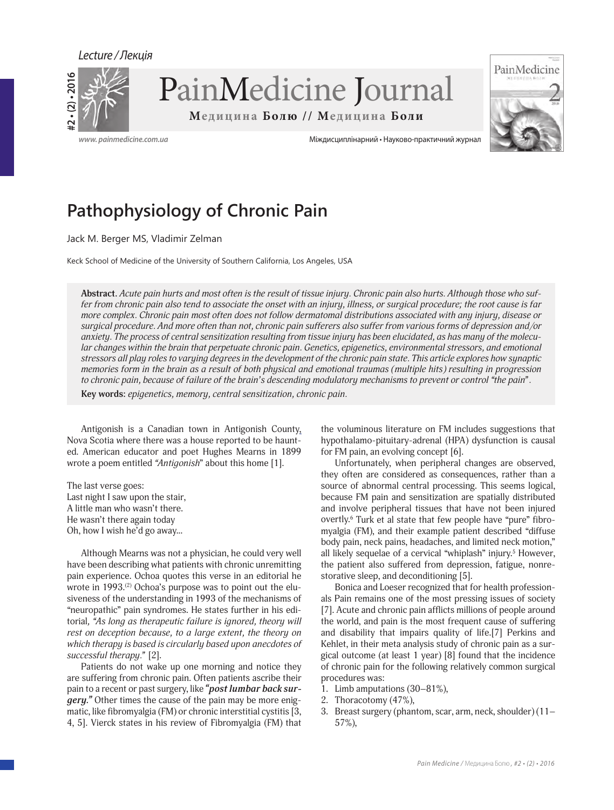Lecture / Лекція





**www. painmedicine.com.ua** Міждисциплінарний • Науково-практичний журнал

# **Pathophysiology of Chronic Pain**

Jack M. Berger MS, Vladimir Zelman

Keck School of Medicine of the University of Southern California, Los Angeles, USA

**Abstract.** *Acute pain hurts and most often is the result of tissue injury. Chronic pain also hurts. Although those who suffer from chronic pain also tend to associate the onset with an injury, illness, or surgical procedure; the root cause is far more complex. Chronic pain most often does not follow dermatomal distributions associated with any injury, disease or surgical procedure. And more often than not, chronic pain sufferers also suffer from various forms of depression and/or anxiety. The process of central sensitization resulting from tissue injury has been elucidated, as has many of the molecular changes within the brain that perpetuate chronic pain. Genetics, epigenetics, environmental stressors, and emotional stressors all play roles to varying degrees in the development of the chronic pain state. This article explores how synaptic memories form in the brain as a result of both physical and emotional traumas (multiple hits) resulting in progression to chronic pain, because of failure of the brain's descending modulatory mechanisms to prevent or control "the pain".*

**Key words:** *epigenetics, memory, central sensitization, chronic pain.*

Antigonish is a Canadian town in Antigonish County, Nova Scotia where there was a house reported to be haunted. American educator and poet Hughes Mearns in 1899 wrote a poem entitled *"Antigonish*" about this home [1].

The last verse goes: Last night I saw upon the stair, A little man who wasn't there. He wasn't there again today Oh, how I wish he'd go away...

Although Mearns was not a physician, he could very well have been describing what patients with chronic unremitting pain experience. Ochoa quotes this verse in an editorial he wrote in  $1993$ .<sup>(2)</sup> Ochoa's purpose was to point out the elusiveness of the understanding in 1993 of the mechanisms of "neuropathic" pain syndromes. He states further in his editorial*, "As long as therapeutic failure is ignored, theory will rest on deception because, to a large extent, the theory on which therapy is based is circularly based upon anecdotes of successful therapy."* [2].

Patients do not wake up one morning and notice they are suffering from chronic pain. Often patients ascribe their pain to a recent or past surgery, like *"post lumbar back surgery."* Other times the cause of the pain may be more enigmatic, like fibromyalgia (FM) or chronic interstitial cystitis [3, 4, 5]. Vierck states in his review of Fibromyalgia (FM) that

the voluminous literature on FM includes suggestions that hypothalamo-pituitary-adrenal (HPA) dysfunction is causal for FM pain, an evolving concept [6].

Unfortunately, when peripheral changes are observed, they often are considered as consequences, rather than a source of abnormal central processing. This seems logical, because FM pain and sensitization are spatially distributed and involve peripheral tissues that have not been injured overtly.6 Turk et al state that few people have "pure" fibromyalgia (FM), and their example patient described "diffuse body pain, neck pains, headaches, and limited neck motion," all likely sequelae of a cervical "whiplash" injury.<sup>5</sup> However, the patient also suffered from depression, fatigue, nonrestorative sleep, and deconditioning [5].

Bonica and Loeser recognized that for health professionals Pain remains one of the most pressing issues of society [7]. Acute and chronic pain afflicts millions of people around the world, and pain is the most frequent cause of suffering and disability that impairs quality of life.[7] Perkins and Kehlet, in their meta analysis study of chronic pain as a surgical outcome (at least 1 year) [8] found that the incidence of chronic pain for the following relatively common surgical procedures was:

- 1. Limb amputations (30–81%),
- 2. Thoracotomy (47%),
- 3. Breast surgery (phantom, scar, arm, neck, shoulder) (11– 57%),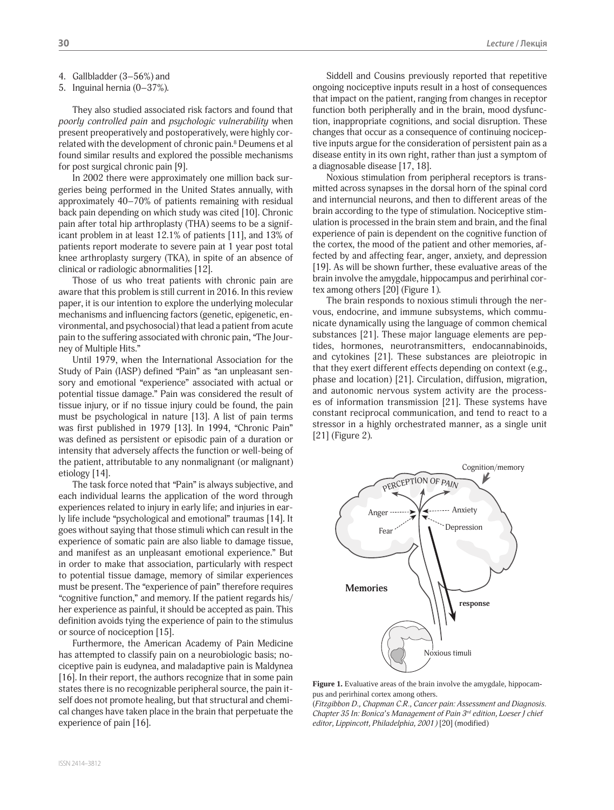- 4. Gallbladder (3–56%) and
- 5. Inguinal hernia (0–37%).

They also studied associated risk factors and found that *poorly controlled pain* and *psychologic vulnerability* when present preoperatively and postoperatively, were highly correlated with the development of chronic pain.<sup>8</sup> Deumens et al found similar results and explored the possible mechanisms for post surgical chronic pain [9].

In 2002 there were approximately one million back surgeries being performed in the United States annually, with approximately 40–70% of patients remaining with residual back pain depending on which study was cited [10]. Chronic pain after total hip arthroplasty (THA) seems to be a significant problem in at least 12.1% of patients [11], and 13% of patients report moderate to severe pain at 1 year post total knee arthroplasty surgery (TKA), in spite of an absence of clinical or radiologic abnormalities [12].

Those of us who treat patients with chronic pain are aware that this problem is still current in 2016. In this review paper, it is our intention to explore the underlying molecular mechanisms and influencing factors (genetic, epigenetic, environmental, and psychosocial) that lead a patient from acute pain to the suffering associated with chronic pain, "The Journey of Multiple Hits."

Until 1979, when the International Association for the Study of Pain (IASP) defined "Pain" as "an unpleasant sensory and emotional "experience" associated with actual or potential tissue damage." Pain was considered the result of tissue injury, or if no tissue injury could be found, the pain must be psychological in nature [13]. A list of pain terms was first published in 1979 [13]. In 1994, "Chronic Pain" was defined as persistent or episodic pain of a duration or intensity that adversely affects the function or well-being of the patient, attributable to any nonmalignant (or malignant) etiology [14].

The task force noted that "Pain" is always subjective, and each individual learns the application of the word through experiences related to injury in early life; and injuries in early life include "psychological and emotional" traumas [14]. It goes without saying that those stimuli which can result in the experience of somatic pain are also liable to damage tissue, and manifest as an unpleasant emotional experience." But in order to make that association, particularly with respect to potential tissue damage, memory of similar experiences must be present. The "experience of pain" therefore requires "cognitive function," and memory. If the patient regards his/ her experience as painful, it should be accepted as pain. This definition avoids tying the experience of pain to the stimulus or source of nociception [15].

Furthermore, the American Academy of Pain Medicine has attempted to classify pain on a neurobiologic basis; nociceptive pain is eudynea, and maladaptive pain is Maldynea [16]. In their report, the authors recognize that in some pain states there is no recognizable peripheral source, the pain itself does not promote healing, but that structural and chemical changes have taken place in the brain that perpetuate the experience of pain [16].

Siddell and Cousins previously reported that repetitive ongoing nociceptive inputs result in a host of consequences that impact on the patient, ranging from changes in receptor function both peripherally and in the brain, mood dysfunction, inappropriate cognitions, and social disruption. These changes that occur as a consequence of continuing nociceptive inputs argue for the consideration of persistent pain as a disease entity in its own right, rather than just a symptom of a diagnosable disease [17, 18].

Noxious stimulation from peripheral receptors is transmitted across synapses in the dorsal horn of the spinal cord and internuncial neurons, and then to different areas of the brain according to the type of stimulation. Nociceptive stimulation is processed in the brain stem and brain, and the final experience of pain is dependent on the cognitive function of the cortex, the mood of the patient and other memories, affected by and affecting fear, anger, anxiety, and depression [19]. As will be shown further, these evaluative areas of the brain involve the amygdale, hippocampus and perirhinal cortex among others [20] (Figure 1).

The brain responds to noxious stimuli through the nervous, endocrine, and immune subsystems, which communicate dynamically using the language of common chemical substances [21]. These major language elements are peptides, hormones, neurotransmitters, endocannabinoids, and cytokines [21]. These substances are pleiotropic in that they exert different effects depending on context (e.g., phase and location) [21]. Circulation, diffusion, migration, and autonomic nervous system activity are the processes of information transmission [21]. These systems have constant reciprocal communication, and tend to react to a stressor in a highly orchestrated manner, as a single unit [21] (Figure 2).



**Figure 1.** Evaluative areas of the brain involve the amygdale, hippocampus and perirhinal cortex among others.

(*Fitzgibbon D., Chapman C.R., Cancer pain: Assessment and Diagnosis. Chapter 35 In: Bonica's Management of Pain 3rd edition, Loeser J chief editor, Lippincott, Philadelphia, 2001)* [20] (modified)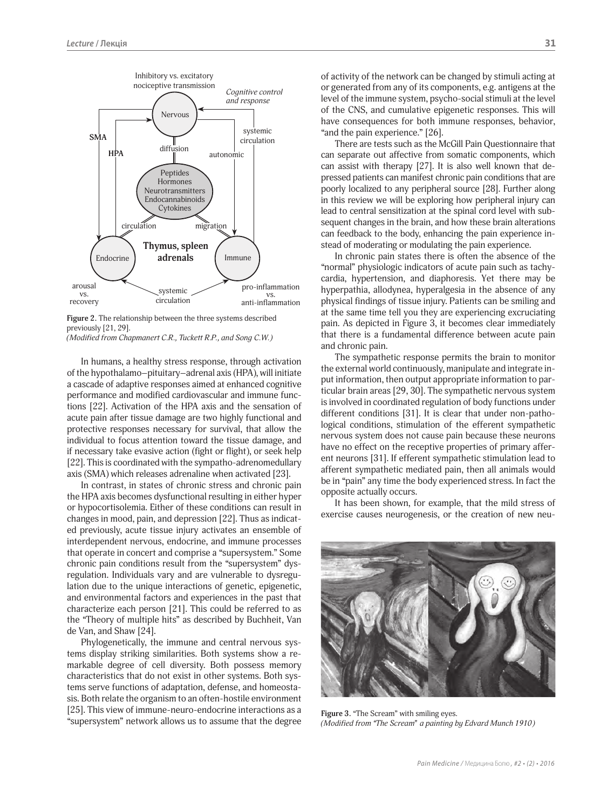

**Figure 2.** The relationship between the three systems described previously [21, 29].

*(Modified from Chapmanert C.R., Tuckett R.P., and Song C.W.)*

In humans, a healthy stress response, through activation of the hypothalamo–pituitary–adrenal axis (HPA), will initiate a cascade of adaptive responses aimed at enhanced cognitive performance and modified cardiovascular and immune functions [22]. Activation of the HPA axis and the sensation of acute pain after tissue damage are two highly functional and protective responses necessary for survival, that allow the individual to focus attention toward the tissue damage, and if necessary take evasive action (fight or flight), or seek help [22]. This is coordinated with the sympatho-adrenomedullary axis (SMA) which releases adrenaline when activated [23].

In contrast, in states of chronic stress and chronic pain the HPA axis becomes dysfunctional resulting in either hyper or hypocortisolemia. Either of these conditions can result in changes in mood, pain, and depression [22]. Thus as indicated previously, acute tissue injury activates an ensemble of interdependent nervous, endocrine, and immune processes that operate in concert and comprise a "supersystem." Some chronic pain conditions result from the "supersystem" dysregulation. Individuals vary and are vulnerable to dysregulation due to the unique interactions of genetic, epigenetic, and environmental factors and experiences in the past that characterize each person [21]. This could be referred to as the "Theory of multiple hits" as described by Buchheit, Van de Van, and Shaw [24].

Phylogenetically, the immune and central nervous systems display striking similarities. Both systems show a remarkable degree of cell diversity. Both possess memory characteristics that do not exist in other systems. Both systems serve functions of adaptation, defense, and homeostasis. Both relate the organism to an often-hostile environment [25]. This view of immune-neuro-endocrine interactions as a "supersystem" network allows us to assume that the degree

of activity of the network can be changed by stimuli acting at or generated from any of its components, e.g. antigens at the level of the immune system, psycho-social stimuli at the level of the CNS, and cumulative epigenetic responses. This will have consequences for both immune responses, behavior, "and the pain experience." [26].

There are tests such as the McGill Pain Questionnaire that can separate out affective from somatic components, which can assist with therapy [27]. It is also well known that depressed patients can manifest chronic pain conditions that are poorly localized to any peripheral source [28]. Further along in this review we will be exploring how peripheral injury can lead to central sensitization at the spinal cord level with subsequent changes in the brain, and how these brain alterations can feedback to the body, enhancing the pain experience instead of moderating or modulating the pain experience.

In chronic pain states there is often the absence of the "normal" physiologic indicators of acute pain such as tachycardia, hypertension, and diaphoresis. Yet there may be hyperpathia, allodynea, hyperalgesia in the absence of any physical findings of tissue injury. Patients can be smiling and at the same time tell you they are experiencing excruciating pain. As depicted in Figure 3, it becomes clear immediately that there is a fundamental difference between acute pain and chronic pain.

The sympathetic response permits the brain to monitor the external world continuously, manipulate and integrate input information, then output appropriate information to particular brain areas [29, 30]. The sympathetic nervous system is involved in coordinated regulation of body functions under different conditions [31]. It is clear that under non-pathological conditions, stimulation of the efferent sympathetic nervous system does not cause pain because these neurons have no effect on the receptive properties of primary afferent neurons [31]. If efferent sympathetic stimulation lead to afferent sympathetic mediated pain, then all animals would be in "pain" any time the body experienced stress. In fact the opposite actually occurs.

It has been shown, for example, that the mild stress of exercise causes neurogenesis, or the creation of new neu-



**Figure 3.** "The Scream" with smiling eyes. *(Modified from "The Scream" a painting by Edvard Munch 1910)*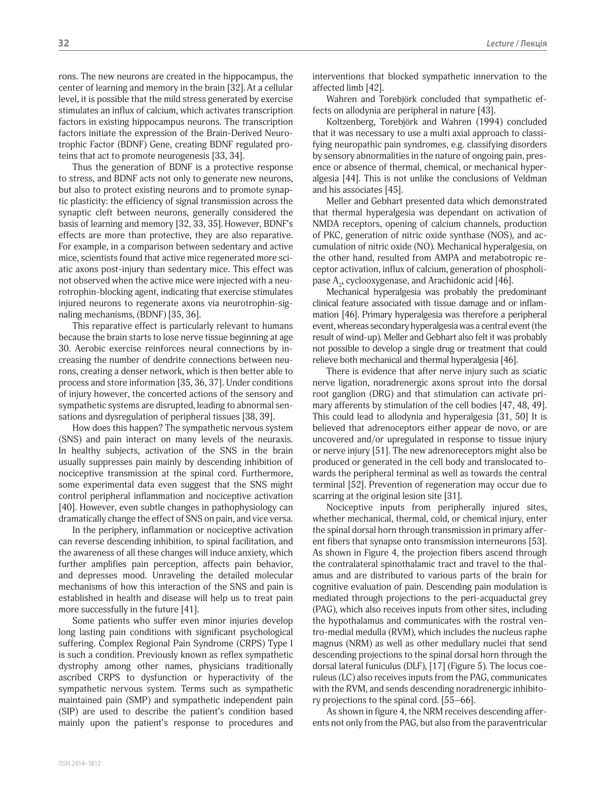rons. The new neurons are created in the hippocampus, the center of learning and memory in the brain [32].At a cellular level, it is possible that the mild stress generated by exercise stimulates an influx of calcium, which activates transcription factors in existing hippocampus neurons. The transcription factors initiate the expression of the Brain-Derived Neurotrophic Factor (BDNF) Gene, creating BDNF regulated proteins that act to promote neurogenesis [33, 34].

Thus the generation of BDNF is a protective response to stress, and BDNF acts not only to generate new neurons, but also to protect existing neurons and to promote synaptic plasticity: the efficiency of signal transmission across the synaptic cleft between neurons, generally considered the basis of learning and memory [32, 33, 35].However, BDNF's effects are more than protective, they are also reparative. For example, in a comparison between sedentary and active mice, scientists found that active mice regenerated more sciatic axons post-injury than sedentary mice. This effect was not observed when the active mice were injected with a neurotrophin-blocking agent, indicating that exercise stimulates injured neurons to regenerate axons via neurotrophin-signaling mechanisms, (BDNF) [35, 36].

This reparative effect is particularly relevant to humans because the brain starts to lose nerve tissue beginning at age 30. Aerobic exercise reinforces neural connections by increasing the number of dendrite connections between neurons, creating a denser network, which is then better able to process and store information [35, 36, 37]. Under conditions of injury however, the concerted actions of the sensory and sympathetic systems are disrupted, leading to abnormal sensations and dysregulation of peripheral tissues [38, 39].

How does this happen? The sympathetic nervous system (SNS) and pain interact on many levels of the neuraxis. In healthy subjects, activation of the SNS in the brain usually suppresses pain mainly by descending inhibition of nociceptive transmission at the spinal cord. Furthermore, some experimental data even suggest that the SNS might control peripheral inflammation and nociceptive activation [40]. However, even subtle changes in pathophysiology can dramatically change the effect of SNS on pain, and vice versa.

In the periphery, inflammation or nociceptive activation can reverse descending inhibition, to spinal facilitation, and the awareness of all these changes will induce anxiety, which further amplifies pain perception, affects pain behavior, and depresses mood. Unraveling the detailed molecular mechanisms of how this interaction of the SNS and pain is established in health and disease will help us to treat pain more successfully in the future [41].

Some patients who suffer even minor injuries develop long lasting pain conditions with significant psychological suffering. Complex Regional Pain Syndrome (CRPS) Type I is such a condition. Previously known as reflex sympathetic dystrophy among other names, physicians traditionally ascribed CRPS to dysfunction or hyperactivity of the sympathetic nervous system. Terms such as sympathetic maintained pain (SMP) and sympathetic independent pain (SIP) are used to describe the patient's condition based mainly upon the patient's response to procedures and interventions that blocked sympathetic innervation to the affected limb [42].

Wahren and Torebjörk concluded that sympathetic effects on allodynia are peripheral in nature [43].

Koltzenberg, Torebjörk and Wahren (1994) concluded that it was necessary to use a multi axial approach to classifying neuropathic pain syndromes, e.g. classifying disorders by sensory abnormalities in the nature of ongoing pain, presence or absence of thermal, chemical, or mechanical hyperalgesia [44]. This is not unlike the conclusions of Veldman and his associates [45].

Meller and Gebhart presented data which demonstrated that thermal hyperalgesia was dependant on activation of NMDA receptors, opening of calcium channels, production of PKC, generation of nitric oxide synthase (NOS), and accumulation of nitric oxide (NO). Mechanical hyperalgesia, on the other hand, resulted from AMPA and metabotropic receptor activation, influx of calcium, generation of phospholipase  $A_2$ , cyclooxygenase, and Arachidonic acid [46].

Mechanical hyperalgesia was probably the predominant clinical feature associated with tissue damage and or inflammation [46]. Primary hyperalgesia was therefore a peripheral event, whereas secondary hyperalgesia was a central event (the result of wind-up). Meller and Gebhart also felt it was probably not possible to develop a single drug or treatment that could relieve both mechanical and thermal hyperalgesia [46].

There is evidence that after nerve injury such as sciatic nerve ligation, noradrenergic axons sprout into the dorsal root ganglion (DRG) and that stimulation can activate primary afferents by stimulation of the cell bodies [47, 48, 49]. This could lead to allodynia and hyperalgesia [31, 50] It is believed that adrenoceptors either appear de novo, or are uncovered and/or upregulated in response to tissue injury or nerve injury [51]. The new adrenoreceptors might also be produced or generated in the cell body and translocated towards the peripheral terminal as well as towards the central terminal [52]. Prevention of regeneration may occur due to scarring at the original lesion site [31].

Nociceptive inputs from peripherally injured sites, whether mechanical, thermal, cold, or chemical injury, enter the spinal dorsal horn through transmission in primary afferent fibers that synapse onto transmission interneurons [53]. As shown in Figure 4, the projection fibers ascend through the contralateral spinothalamic tract and travel to the thalamus and are distributed to various parts of the brain for cognitive evaluation of pain. Descending pain modulation is mediated through projections to the peri-acquaductal grey (PAG), which also receives inputs from other sites, including the hypothalamus and communicates with the rostral ventro-medial medulla (RVM), which includes the nucleus raphe magnus (NRM) as well as other medullary nuclei that send descending projections to the spinal dorsal horn through the dorsal lateral funiculus (DLF), [17] (Figure 5). The locus coeruleus (LC) also receives inputs from the PAG, communicates with the RVM, and sends descending noradrenergic inhibitory projections to the spinal cord. [55–66].

As shown in figure 4, the NRM receives descending afferents not only from the PAG, but also from the paraventricular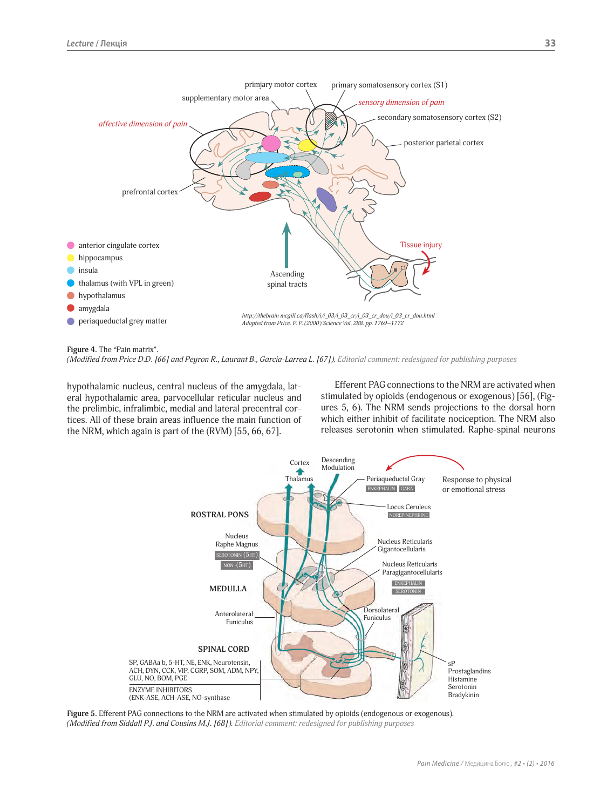

Figure 4. The "Pain matrix".

*(Modified from Price D.D. [66] and Peyron R., Laurant B., Garcia-Larrea L. [67]). Editorial comment: redesigned for publishing purposes*

hypothalamic nucleus, central nucleus of the amygdala, lateral hypothalamic area, parvocellular reticular nucleus and the prelimbic, infralimbic, medial and lateral precentral cortices. All of these brain areas influence the main function of the NRM, which again is part of the (RVM) [55, 66, 67].

Efferent PAG connections to the NRM are activated when stimulated by opioids (endogenous or exogenous) [56], (Figures 5, 6). The NRM sends projections to the dorsal horn which either inhibit of facilitate nociception. The NRM also releases serotonin when stimulated. Raphe-spinal neurons



**Figure 5.** Efferent PAG connections to the NRM are activated when stimulated by opioids (endogenous or exogenous). *(Modified from Siddall P.J. and Cousins M.J. [68]). Editorial comment: redesigned for publishing purposes*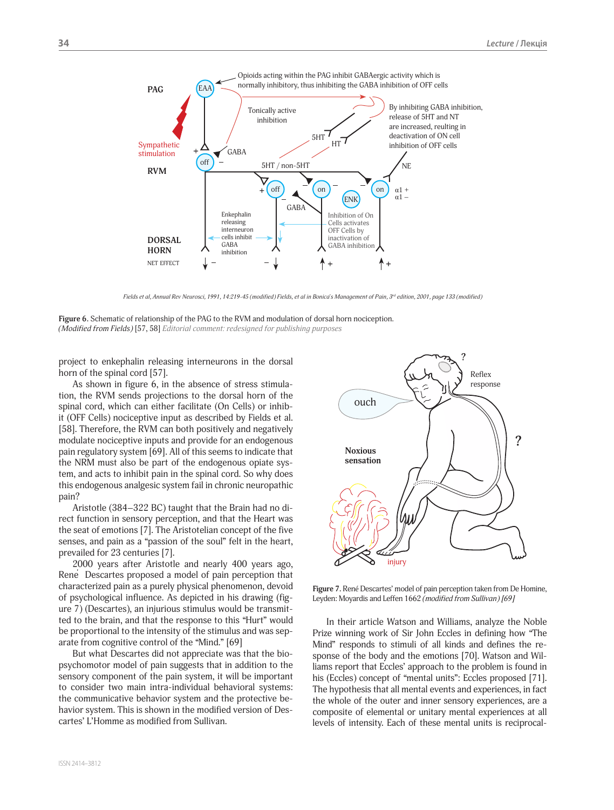

Fields et al, Annual Rev Neurosci, 1991, 14:219-45 (modified) Fields, et al in Bonica's Management of Pain, 3<sup>rd</sup> edition, 2001, page 133 (modified)

**Figure 6.** Schematic of relationship of the PAG to the RVM and modulation of dorsal horn nociception. *(Modified from Fields)* [57, 58] *Editorial comment: redesigned for publishing purposes*

project to enkephalin releasing interneurons in the dorsal horn of the spinal cord [57].

As shown in figure 6, in the absence of stress stimulation, the RVM sends projections to the dorsal horn of the spinal cord, which can either facilitate (On Cells) or inhibit (OFF Cells) nociceptive input as described by Fields et al. [58]. Therefore, the RVM can both positively and negatively modulate nociceptive inputs and provide for an endogenous pain regulatory system [69]. All of this seems to indicate that the NRM must also be part of the endogenous opiate system, and acts to inhibit pain in the spinal cord. So why does this endogenous analgesic system fail in chronic neuropathic pain?

Aristotle (384–322 BC) taught that the Brain had no direct function in sensory perception, and that the Heart was the seat of emotions [7]. The Aristotelian concept of the five senses, and pain as a "passion of the soul" felt in the heart, prevailed for 23 centuries [7].

2000 years after Aristotle and nearly 400 years ago, Rene´ Descartes proposed a model of pain perception that characterized pain as a purely physical phenomenon, devoid of psychological influence. As depicted in his drawing (figure 7) (Descartes), an injurious stimulus would be transmitted to the brain, and that the response to this "Hurt" would be proportional to the intensity of the stimulus and was separate from cognitive control of the "Mind." [69]

But what Descartes did not appreciate was that the biopsychomotor model of pain suggests that in addition to the sensory component of the pain system, it will be important to consider two main intra-individual behavioral systems: the communicative behavior system and the protective behavior system. This is shown in the modified version of Descartes' L'Homme as modified from Sullivan.



**Figure 7.** René Descartes' model of pain perception taken from De Homine, Leyden: Moyardis and Leffen 1662 *(modified from Sullivan) [69]*

In their article Watson and Williams, analyze the Noble Prize winning work of Sir John Eccles in defining how "The Mind" responds to stimuli of all kinds and defines the response of the body and the emotions [70]. Watson and Williams report that Eccles' approach to the problem is found in his (Eccles) concept of "mental units": Eccles proposed [71]. The hypothesis that all mental events and experiences, in fact the whole of the outer and inner sensory experiences, are a composite of elemental or unitary mental experiences at all levels of intensity. Each of these mental units is reciprocal-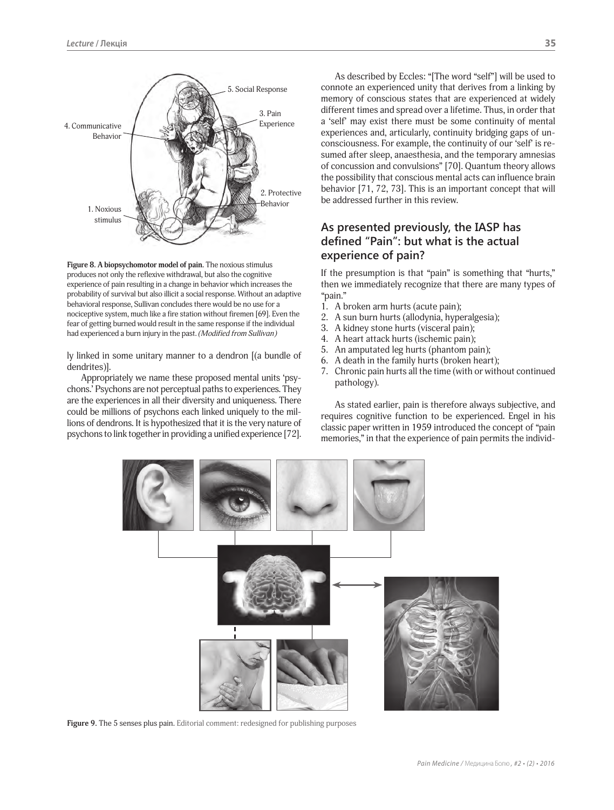

Figure 8. A biopsychomotor model of pain. The noxious stimulus produces not only the reflexive withdrawal, but also the cognitive experience of pain resulting in a change in behavior which increases the probability of survival but also illicit a social response. Without an adaptive behavioral response, Sullivan concludes there would be no use for a nociceptive system, much like a fire station without firemen [69]. Even the fear of getting burned would result in the same response if the individual had experienced a burn injury in the past. *(Modified from Sullivan)*

ly linked in some unitary manner to a dendron [(a bundle of dendrites)].

Appropriately we name these proposed mental units 'psychons.' Psychons are not perceptual paths to experiences. They are the experiences in all their diversity and uniqueness. There could be millions of psychons each linked uniquely to the millions of dendrons. It is hypothesized that it is the very nature of psychons to link together in providing a unified experience [72].

As described by Eccles: "[The word "self"] will be used to connote an experienced unity that derives from a linking by memory of conscious states that are experienced at widely different times and spread over a lifetime. Thus, in order that a 'self' may exist there must be some continuity of mental experiences and, articularly, continuity bridging gaps of unconsciousness. For example, the continuity of our 'self' is resumed after sleep, anaesthesia, and the temporary amnesias of concussion and convulsions" [70]. Quantum theory allows the possibility that conscious mental acts can influence brain behavior [71, 72, 73]. This is an important concept that will be addressed further in this review.

# **As presented previously, the IASP has**  defined "Pain": but what is the actual **experience of pain?**

If the presumption is that "pain" is something that "hurts," then we immediately recognize that there are many types of "pain."

- 1. A broken arm hurts (acute pain);
- 2. A sun burn hurts (allodynia, hyperalgesia);
- 3. A kidney stone hurts (visceral pain);
- 4. A heart attack hurts (ischemic pain);
- 5. An amputated leg hurts (phantom pain);
- 6. A death in the family hurts (broken heart);
- 7. Chronic pain hurts all the time (with or without continued pathology).

As stated earlier, pain is therefore always subjective, and requires cognitive function to be experienced. Engel in his classic paper written in 1959 introduced the concept of "pain memories," in that the experience of pain permits the individ-



Figure 9. The 5 senses plus pain. Editorial comment: redesigned for publishing purposes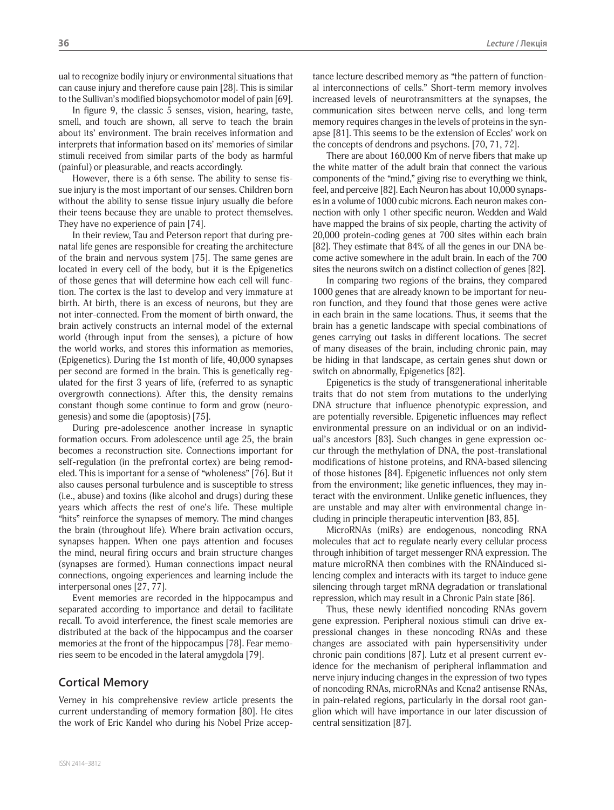ual to recognize bodily injury or environmental situations that can cause injury and therefore cause pain [28]. This is similar to the Sullivan's modified biopsychomotor model of pain [69].

In figure 9, the classic 5 senses, vision, hearing, taste, smell, and touch are shown, all serve to teach the brain about its' environment. The brain receives information and interprets that information based on its' memories of similar stimuli received from similar parts of the body as harmful (painful) or pleasurable, and reacts accordingly.

However, there is a 6th sense. The ability to sense tissue injury is the most important of our senses. Children born without the ability to sense tissue injury usually die before their teens because they are unable to protect themselves. They have no experience of pain [74].

In their review, Tau and Peterson report that during prenatal life genes are responsible for creating the architecture of the brain and nervous system [75]. The same genes are located in every cell of the body, but it is the Epigenetics of those genes that will determine how each cell will function. The cortex is the last to develop and very immature at birth. At birth, there is an excess of neurons, but they are not inter-connected. From the moment of birth onward, the brain actively constructs an internal model of the external world (through input from the senses), a picture of how the world works, and stores this information as memories, (Epigenetics). During the 1st month of life, 40,000 synapses per second are formed in the brain. This is genetically regulated for the first 3 years of life, (referred to as synaptic overgrowth connections). After this, the density remains constant though some continue to form and grow (neurogenesis) and some die (apoptosis) [75].

During pre-adolescence another increase in synaptic formation occurs. From adolescence until age 25, the brain becomes a reconstruction site. Connections important for self-regulation (in the prefrontal cortex) are being remodeled. This is important for a sense of "wholeness" [76]. But it also causes personal turbulence and is susceptible to stress (i.e., abuse) and toxins (like alcohol and drugs) during these years which affects the rest of one's life. These multiple "hits" reinforce the synapses of memory. The mind changes the brain (throughout life). Where brain activation occurs, synapses happen. When one pays attention and focuses the mind, neural firing occurs and brain structure changes (synapses are formed). Human connections impact neural connections, ongoing experiences and learning include the interpersonal ones [27, 77].

Event memories are recorded in the hippocampus and separated according to importance and detail to facilitate recall. To avoid interference, the finest scale memories are distributed at the back of the hippocampus and the coarser memories at the front of the hippocampus [78]. Fear memories seem to be encoded in the lateral amygdola [79].

### **Cortical Memory**

Verney in his comprehensive review article presents the current understanding of memory formation [80]. He cites the work of Eric Kandel who during his Nobel Prize acceptance lecture described memory as "the pattern of functional interconnections of cells." Short-term memory involves increased levels of neurotransmitters at the synapses, the communication sites between nerve cells, and long-term memory requires changes in the levels of proteins in the synapse [81]. This seems to be the extension of Eccles' work on the concepts of dendrons and psychons. [70, 71, 72].

There are about 160,000 Km of nerve fibers that make up the white matter of the adult brain that connect the various components of the "mind," giving rise to everything we think, feel, and perceive [82]. Each Neuron has about 10,000 synapses in a volume of 1000 cubic microns. Each neuron makes connection with only 1 other specific neuron. Wedden and Wald have mapped the brains of six people, charting the activity of 20,000 protein-coding genes at 700 sites within each brain [82]. They estimate that 84% of all the genes in our DNA become active somewhere in the adult brain. In each of the 700 sites the neurons switch on a distinct collection of genes [82].

In comparing two regions of the brains, they compared 1000 genes that are already known to be important for neuron function, and they found that those genes were active in each brain in the same locations. Thus, it seems that the brain has a genetic landscape with special combinations of genes carrying out tasks in different locations. The secret of many diseases of the brain, including chronic pain, may be hiding in that landscape, as certain genes shut down or switch on abnormally, Epigenetics [82].

Epigenetics is the study of transgenerational inheritable traits that do not stem from mutations to the underlying DNA structure that influence phenotypic expression, and are potentially reversible. Epigenetic influences may reflect environmental pressure on an individual or on an individual's ancestors [83]. Such changes in gene expression occur through the methylation of DNA, the post-translational modifications of histone proteins, and RNA-based silencing of those histones [84]. Epigenetic influences not only stem from the environment; like genetic influences, they may interact with the environment. Unlike genetic influences, they are unstable and may alter with environmental change including in principle therapeutic intervention [83, 85].

MicroRNAs (miRs) are endogenous, noncoding RNA molecules that act to regulate nearly every cellular process through inhibition of target messenger RNA expression. The mature microRNA then combines with the RNAinduced silencing complex and interacts with its target to induce gene silencing through target mRNA degradation or translational repression, which may result in a Chronic Pain state [86].

Thus, these newly identified noncoding RNAs govern gene expression. Peripheral noxious stimuli can drive expressional changes in these noncoding RNAs and these changes are associated with pain hypersensitivity under chronic pain conditions [87]. Lutz et al present current evidence for the mechanism of peripheral inflammation and nerve injury inducing changes in the expression of two types of noncoding RNAs, microRNAs and Kcna2 antisense RNAs, in pain-related regions, particularly in the dorsal root ganglion which will have importance in our later discussion of central sensitization [87].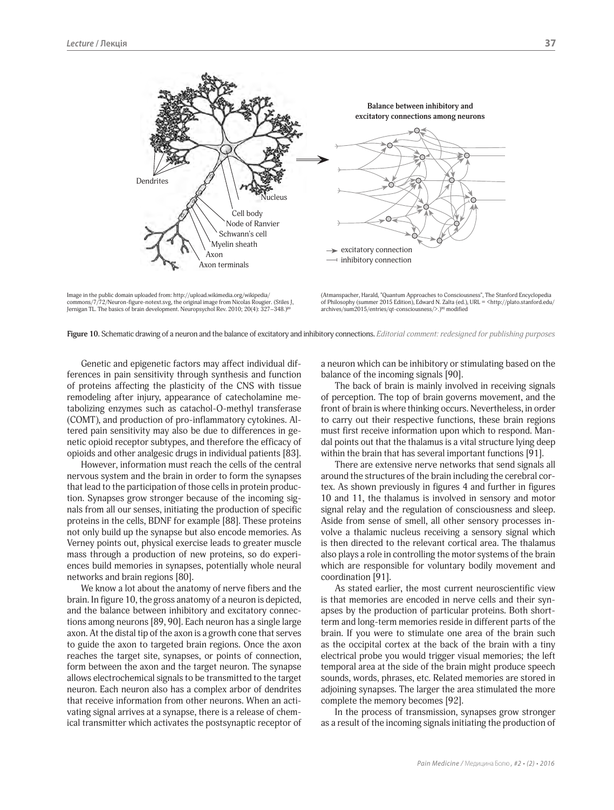

Image in the public domain uploaded from: http://upload.wikimedia.org/wikipedia/ commons/7/72/Neuron-figure-notext.svg, the original image from Nicolas Rougier. (Stiles J, Jernigan TL. The basics of brain development. Neuropsychol Rev. 2010; 20(4): 327–348.)89

(Atmanspacher, Harald, "Quantum Approaches to Consciousness", The Stanford Encyclopedia of Philosophy (summer 2015 Edition), Edward N. Zalta (ed.), URL = <http://plato.stanford.edu/ archives/sum2015/entries/qt-consciousness/>.)90 modified



Genetic and epigenetic factors may affect individual differences in pain sensitivity through synthesis and function of proteins affecting the plasticity of the CNS with tissue remodeling after injury, appearance of catecholamine metabolizing enzymes such as catachol-O-methyl transferase (COMT), and production of pro-inflammatory cytokines. Altered pain sensitivity may also be due to differences in genetic opioid receptor subtypes, and therefore the efficacy of opioids and other analgesic drugs in individual patients [83].

However, information must reach the cells of the central nervous system and the brain in order to form the synapses that lead to the participation of those cells in protein production. Synapses grow stronger because of the incoming signals from all our senses, initiating the production of specific proteins in the cells, BDNF for example [88]. These proteins not only build up the synapse but also encode memories. As Verney points out, physical exercise leads to greater muscle mass through a production of new proteins, so do experiences build memories in synapses, potentially whole neural networks and brain regions [80].

We know a lot about the anatomy of nerve fibers and the brain. In figure 10, the gross anatomy of a neuron is depicted, and the balance between inhibitory and excitatory connections among neurons [89, 90]. Each neuron has a single large axon. At the distal tip of the axon is a growth cone that serves to guide the axon to targeted brain regions. Once the axon reaches the target site, synapses, or points of connection, form between the axon and the target neuron. The synapse allows electrochemical signals to be transmitted to the target neuron. Each neuron also has a complex arbor of dendrites that receive information from other neurons. When an activating signal arrives at a synapse, there is a release of chemical transmitter which activates the postsynaptic receptor of a neuron which can be inhibitory or stimulating based on the balance of the incoming signals [90].

The back of brain is mainly involved in receiving signals of perception. The top of brain governs movement, and the front of brain is where thinking occurs. Nevertheless, in order to carry out their respective functions, these brain regions must first receive information upon which to respond. Mandal points out that the thalamus is a vital structure lying deep within the brain that has several important functions [91].

There are extensive nerve networks that send signals all around the structures of the brain including the cerebral cortex. As shown previously in figures 4 and further in figures 10 and 11, the thalamus is involved in sensory and motor signal relay and the regulation of consciousness and sleep. Aside from sense of smell, all other sensory processes involve a thalamic nucleus receiving a sensory signal which is then directed to the relevant cortical area. The thalamus also plays a role in controlling the motor systems of the brain which are responsible for voluntary bodily movement and coordination [91].

As stated earlier, the most current neuroscientific view is that memories are encoded in nerve cells and their synapses by the production of particular proteins. Both shortterm and long-term memories reside in different parts of the brain. If you were to stimulate one area of the brain such as the occipital cortex at the back of the brain with a tiny electrical probe you would trigger visual memories; the left temporal area at the side of the brain might produce speech sounds, words, phrases, etc. Related memories are stored in adjoining synapses. The larger the area stimulated the more complete the memory becomes [92].

In the process of transmission, synapses grow stronger as a result of the incoming signals initiating the production of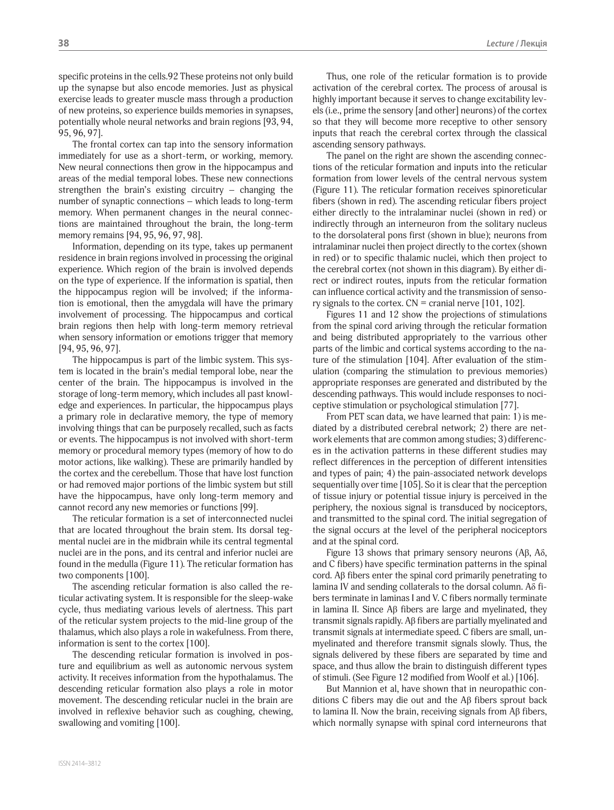specific proteins in the cells.92 These proteins not only build up the synapse but also encode memories. Just as physical exercise leads to greater muscle mass through a production of new proteins, so experience builds memories in synapses, potentially whole neural networks and brain regions [93, 94, 95, 96, 97].

The frontal cortex can tap into the sensory information immediately for use as a short-term, or working, memory. New neural connections then grow in the hippocampus and areas of the medial temporal lobes. These new connections strengthen the brain's existing circuitry – changing the number of synaptic connections – which leads to long-term memory. When permanent changes in the neural connections are maintained throughout the brain, the long-term memory remains [94, 95, 96, 97, 98].

Information, depending on its type, takes up permanent residence in brain regions involved in processing the original experience. Which region of the brain is involved depends on the type of experience. If the information is spatial, then the hippocampus region will be involved; if the information is emotional, then the amygdala will have the primary involvement of processing. The hippocampus and cortical brain regions then help with long-term memory retrieval when sensory information or emotions trigger that memory [94, 95, 96, 97].

The hippocampus is part of the limbic system. This system is located in the brain's medial temporal lobe, near the center of the brain. The hippocampus is involved in the storage of long-term memory, which includes all past knowledge and experiences. In particular, the hippocampus plays a primary role in declarative memory, the type of memory involving things that can be purposely recalled, such as facts or events. The hippocampus is not involved with short-term memory or procedural memory types (memory of how to do motor actions, like walking). These are primarily handled by the cortex and the cerebellum. Those that have lost function or had removed major portions of the limbic system but still have the hippocampus, have only long-term memory and cannot record any new memories or functions [99].

The reticular formation is a set of interconnected nuclei that are located throughout the brain stem. Its dorsal tegmental nuclei are in the midbrain while its central tegmental nuclei are in the pons, and its central and inferior nuclei are found in the medulla (Figure 11). The reticular formation has two components [100].

The ascending reticular formation is also called the reticular activating system. It is responsible for the sleep-wake cycle, thus mediating various levels of alertness. This part of the reticular system projects to the mid-line group of the thalamus, which also plays a role in wakefulness. From there, information is sent to the cortex [100].

The descending reticular formation is involved in posture and equilibrium as well as autonomic nervous system activity. It receives information from the hypothalamus. The descending reticular formation also plays a role in motor movement. The descending reticular nuclei in the brain are involved in reflexive behavior such as coughing, chewing, swallowing and vomiting [100].

Thus, one role of the reticular formation is to provide activation of the cerebral cortex. The process of arousal is highly important because it serves to change excitability levels (i.e., prime the sensory [and other] neurons) of the cortex so that they will become more receptive to other sensory inputs that reach the cerebral cortex through the classical ascending sensory pathways.

The panel on the right are shown the ascending connections of the reticular formation and inputs into the reticular formation from lower levels of the central nervous system (Figure 11). The reticular formation receives spinoreticular fibers (shown in red). The ascending reticular fibers project either directly to the intralaminar nuclei (shown in red) or indirectly through an interneuron from the solitary nucleus to the dorsolateral pons first (shown in blue); neurons from intralaminar nuclei then project directly to the cortex (shown in red) or to specific thalamic nuclei, which then project to the cerebral cortex (not shown in this diagram). By either direct or indirect routes, inputs from the reticular formation can influence cortical activity and the transmission of sensory signals to the cortex.  $CN =$  cranial nerve [101, 102].

Figures 11 and 12 show the projections of stimulations from the spinal cord ariving through the reticular formation and being distributed appropriately to the varrious other parts of the limbic and cortical systems according to the nature of the stimulation [104]. After evaluation of the stimulation (comparing the stimulation to previous memories) appropriate responses are generated and distributed by the descending pathways. This would include responses to nociceptive stimulation or psychological stimulation [77].

From PET scan data, we have learned that pain: 1) is mediated by a distributed cerebral network; 2) there are network elements that are common among studies; 3) differences in the activation patterns in these different studies may reflect differences in the perception of different intensities and types of pain; 4) the pain-associated network develops sequentially over time [105]. So it is clear that the perception of tissue injury or potential tissue injury is perceived in the periphery, the noxious signal is transduced by nociceptors, and transmitted to the spinal cord. The initial segregation of the signal occurs at the level of the peripheral nociceptors and at the spinal cord.

Figure 13 shows that primary sensory neurons (Aβ, Aδ, and C fibers) have specific termination patterns in the spinal cord. Aβ fibers enter the spinal cord primarily penetrating to lamina IV and sending collaterals to the dorsal column. Aδ fibers terminate in laminas I and V. C fibers normally terminate in lamina II. Since Aβ fibers are large and myelinated, they transmit signals rapidly. Aβ fibers are partially myelinated and transmit signals at intermediate speed. C fibers are small, unmyelinated and therefore transmit signals slowly. Thus, the signals delivered by these fibers are separated by time and space, and thus allow the brain to distinguish different types of stimuli. (See Figure 12 modified from Woolf et al.) [106].

But Mannion et al, have shown that in neuropathic conditions C fibers may die out and the Aβ fibers sprout back to lamina II. Now the brain, receiving signals from Aβ fibers, which normally synapse with spinal cord interneurons that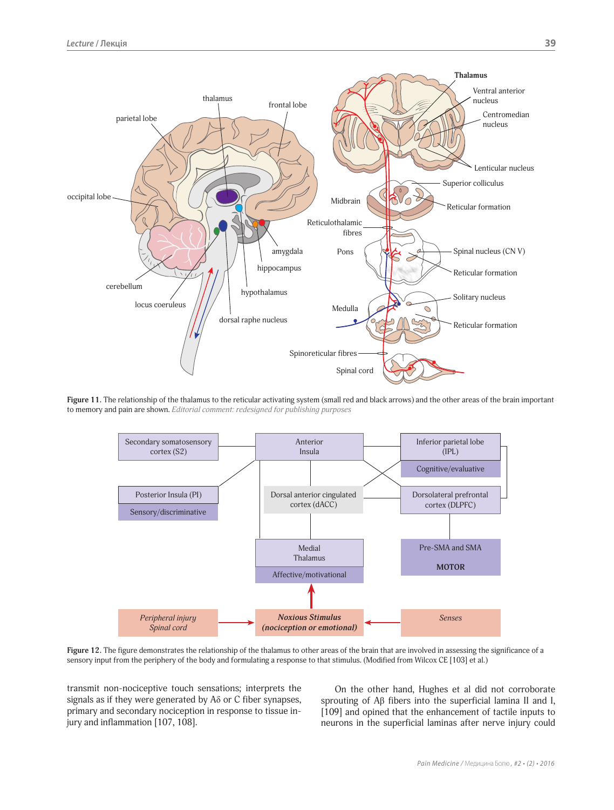

**Figure 11.** The relationship of the thalamus to the reticular activating system (small red and black arrows) and the other areas of the brain important to memory and pain are shown. *Editorial comment: redesigned for publishing purposes*



Figure 12. The figure demonstrates the relationship of the thalamus to other areas of the brain that are involved in assessing the significance of a sensory input from the periphery of the body and formulating a response to that stimulus. (Modified from Wilcox CE [103] et al.)

transmit non-nociceptive touch sensations; interprets the signals as if they were generated by Aδ or C fiber synapses, primary and secondary nociception in response to tissue injury and inflammation [107, 108].

On the other hand, Hughes et al did not corroborate sprouting of Aβ fibers into the superficial lamina II and I, [109] and opined that the enhancement of tactile inputs to neurons in the superficial laminas after nerve injury could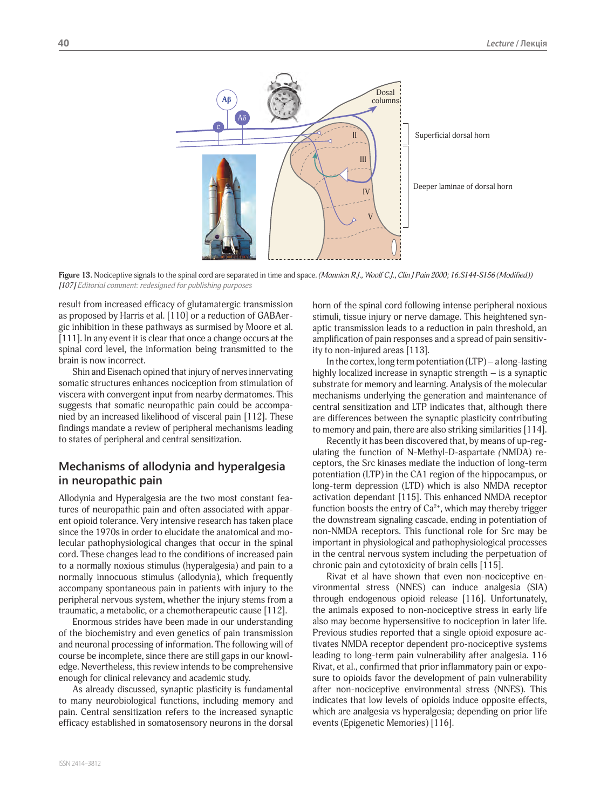

**Figure 13.** Nociceptive signals to the spinal cord are separated in time and space. *(Mannion R.J., Woolf C.J., Clin J Pain 2000; 16:S144-S156 (Modified)) [107] Editorial comment: redesigned for publishing purposes*

result from increased efficacy of glutamatergic transmission as proposed by Harris et al. [110] or a reduction of GABAergic inhibition in these pathways as surmised by Moore et al. [111]. In any event it is clear that once a change occurs at the spinal cord level, the information being transmitted to the brain is now incorrect.

Shin and Eisenach opined that injury of nerves innervating somatic structures enhances nociception from stimulation of viscera with convergent input from nearby dermatomes. This suggests that somatic neuropathic pain could be accompanied by an increased likelihood of visceral pain [112]. These findings mandate a review of peripheral mechanisms leading to states of peripheral and central sensitization.

## **Mechanisms of allodynia and hyperalgesia in neuropathic pain**

Allodynia and Hyperalgesia are the two most constant features of neuropathic pain and often associated with apparent opioid tolerance. Very intensive research has taken place since the 1970s in order to elucidate the anatomical and molecular pathophysiological changes that occur in the spinal cord. These changes lead to the conditions of increased pain to a normally noxious stimulus (hyperalgesia) and pain to a normally innocuous stimulus (allodynia), which frequently accompany spontaneous pain in patients with injury to the peripheral nervous system, whether the injury stems from a traumatic, a metabolic, or a chemotherapeutic cause [112].

Enormous strides have been made in our understanding of the biochemistry and even genetics of pain transmission and neuronal processing of information. The following will of course be incomplete, since there are still gaps in our knowledge. Nevertheless, this review intends to be comprehensive enough for clinical relevancy and academic study.

As already discussed, synaptic plasticity is fundamental to many neurobiological functions, including memory and pain. Central sensitization refers to the increased synaptic efficacy established in somatosensory neurons in the dorsal horn of the spinal cord following intense peripheral noxious stimuli, tissue injury or nerve damage. This heightened synaptic transmission leads to a reduction in pain threshold, an amplification of pain responses and a spread of pain sensitivity to non-injured areas [113].

In the cortex, long term potentiation (LTP) – a long-lasting highly localized increase in synaptic strength – is a synaptic substrate for memory and learning. Analysis of the molecular mechanisms underlying the generation and maintenance of central sensitization and LTP indicates that, although there are differences between the synaptic plasticity contributing to memory and pain, there are also striking similarities [114].

Recently it has been discovered that, by means of up-regulating the function of N-Methyl-D*-*aspartate *(*NMDA) receptors, the Src kinases mediate the induction of long-term potentiation (LTP) in the CA1 region of the hippocampus, or long-term depression (LTD) which is also NMDA receptor activation dependant [115]. This enhanced NMDA receptor function boosts the entry of  $Ca^{2+}$ , which may thereby trigger the downstream signaling cascade, ending in potentiation of non-NMDA receptors. This functional role for Src may be important in physiological and pathophysiological processes in the central nervous system including the perpetuation of chronic pain and cytotoxicity of brain cells [115].

Rivat et al have shown that even non-nociceptive environmental stress (NNES) can induce analgesia (SIA) through endogenous opioid release [116]. Unfortunately, the animals exposed to non-nociceptive stress in early life also may become hypersensitive to nociception in later life. Previous studies reported that a single opioid exposure activates NMDA receptor dependent pro-nociceptive systems leading to long-term pain vulnerability after analgesia. 116 Rivat, et al., confirmed that prior inflammatory pain or exposure to opioids favor the development of pain vulnerability after non-nociceptive environmental stress (NNES). This indicates that low levels of opioids induce opposite effects, which are analgesia vs hyperalgesia; depending on prior life events (Epigenetic Memories) [116].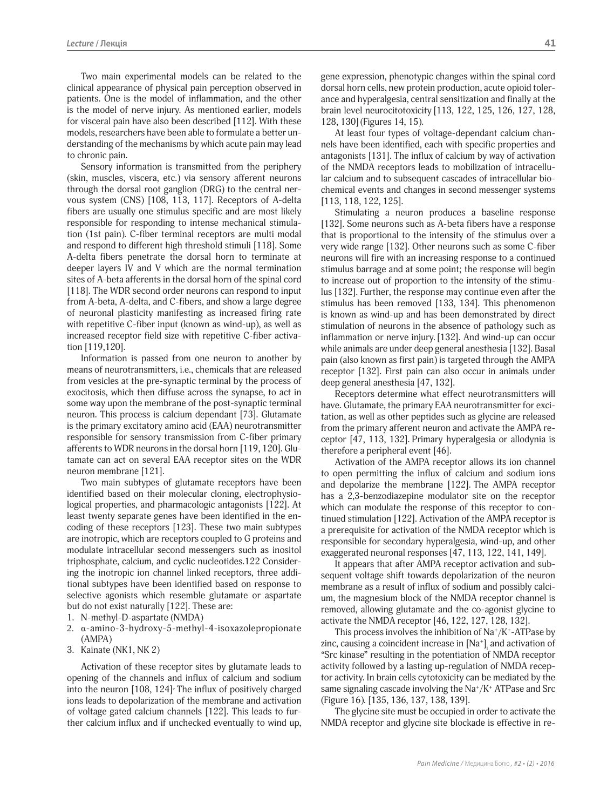Two main experimental models can be related to the clinical appearance of physical pain perception observed in patients. One is the model of inflammation, and the other is the model of nerve injury. As mentioned earlier, models for visceral pain have also been described [112]. With these models, researchers have been able to formulate a better understanding of the mechanisms by which acute pain may lead to chronic pain.

Sensory information is transmitted from the periphery (skin, muscles, viscera, etc.) via sensory afferent neurons through the dorsal root ganglion (DRG) to the central nervous system (CNS) [108, 113, 117]. Receptors of A-delta fibers are usually one stimulus specific and are most likely responsible for responding to intense mechanical stimulation (1st pain). C-fiber terminal receptors are multi modal and respond to different high threshold stimuli [118]. Some A-delta fibers penetrate the dorsal horn to terminate at deeper layers IV and V which are the normal termination sites of A-beta afferents in the dorsal horn of the spinal cord [118]. The WDR second order neurons can respond to input from A-beta, A-delta, and C-fibers, and show a large degree of neuronal plasticity manifesting as increased firing rate with repetitive C-fiber input (known as wind-up), as well as increased receptor field size with repetitive C-fiber activation [119,120].

Information is passed from one neuron to another by means of neurotransmitters, i.e., chemicals that are released from vesicles at the pre-synaptic terminal by the process of exocitosis, which then diffuse across the synapse, to act in some way upon the membrane of the post-synaptic terminal neuron. This process is calcium dependant [73]. Glutamate is the primary excitatory amino acid (EAA) neurotransmitter responsible for sensory transmission from C-fiber primary afferents to WDR neurons in the dorsal horn [119, 120]. Glutamate can act on several EAA receptor sites on the WDR neuron membrane [121].

Two main subtypes of glutamate receptors have been identified based on their molecular cloning, electrophysiological properties, and pharmacologic antagonists [122]. At least twenty separate genes have been identified in the encoding of these receptors [123]. These two main subtypes are inotropic, which are receptors coupled to G proteins and modulate intracellular second messengers such as inositol triphosphate, calcium, and cyclic nucleotides.122 Considering the inotropic ion channel linked receptors, three additional subtypes have been identified based on response to selective agonists which resemble glutamate or aspartate but do not exist naturally [122]. These are:

- 1. N-methyl-D-aspartate (NMDA)
- 2. α-amino-3-hydroxy-5-methyl-4-isoxazolepropionate (AMPA)
- 3. Kainate (NK1, NK 2)

Activation of these receptor sites by glutamate leads to opening of the channels and influx of calcium and sodium into the neuron  $[108, 124]$ . The influx of positively charged ions leads to depolarization of the membrane and activation of voltage gated calcium channels [122]. This leads to further calcium influx and if unchecked eventually to wind up, gene expression, phenotypic changes within the spinal cord dorsal horn cells, new protein production, acute opioid tolerance and hyperalgesia, central sensitization and finally at the brain level neurocitotoxicity [113, 122, 125, 126, 127, 128, 128, 130](Figures 14, 15).

At least four types of voltage-dependant calcium channels have been identified, each with specific properties and antagonists [131]. The influx of calcium by way of activation of the NMDA receptors leads to mobilization of intracellular calcium and to subsequent cascades of intracellular biochemical events and changes in second messenger systems [113, 118, 122, 125].

Stimulating a neuron produces a baseline response [132]. Some neurons such as A-beta fibers have a response that is proportional to the intensity of the stimulus over a very wide range [132]. Other neurons such as some C-fiber neurons will fire with an increasing response to a continued stimulus barrage and at some point; the response will begin to increase out of proportion to the intensity of the stimulus [132]. Further, the response may continue even after the stimulus has been removed [133, 134]. This phenomenon is known as wind-up and has been demonstrated by direct stimulation of neurons in the absence of pathology such as inflammation or nerve injury. [132]. And wind-up can occur while animals are under deep general anesthesia [132]. Basal pain (also known as first pain) is targeted through the AMPA receptor [132]. First pain can also occur in animals under deep general anesthesia [47, 132].

Receptors determine what effect neurotransmitters will have. Glutamate, the primary EAA neurotransmitter for excitation, as well as other peptides such as glycine are released from the primary afferent neuron and activate the AMPA receptor [47, 113, 132]. Primary hyperalgesia or allodynia is therefore a peripheral event [46].

Activation of the AMPA receptor allows its ion channel to open permitting the influx of calcium and sodium ions and depolarize the membrane [122]. The AMPA receptor has a 2,3-benzodiazepine modulator site on the receptor which can modulate the response of this receptor to continued stimulation [122]. Activation of the AMPA receptor is a prerequisite for activation of the NMDA receptor which is responsible for secondary hyperalgesia, wind-up, and other exaggerated neuronal responses [47, 113, 122, 141, 149].

It appears that after AMPA receptor activation and subsequent voltage shift towards depolarization of the neuron membrane as a result of influx of sodium and possibly calcium, the magnesium block of the NMDA receptor channel is removed, allowing glutamate and the co-agonist glycine to activate the NMDA receptor [46, 122, 127, 128, 132].

This process involves the inhibition of  $\text{Na}^+\text{/K}^+$ -ATPase by zinc, causing a coincident increase in [Na<sup>+</sup>]<sub>i</sub> and activation of "Src kinase" resulting in the potentiation of NMDA receptor activity followed by a lasting up-regulation of NMDA receptor activity. In brain cells cytotoxicity can be mediated by the same signaling cascade involving the Na<sup>+</sup>/K<sup>+</sup> ATPase and Src (Figure 16). [135, 136, 137, 138, 139].

The glycine site must be occupied in order to activate the NMDA receptor and glycine site blockade is effective in re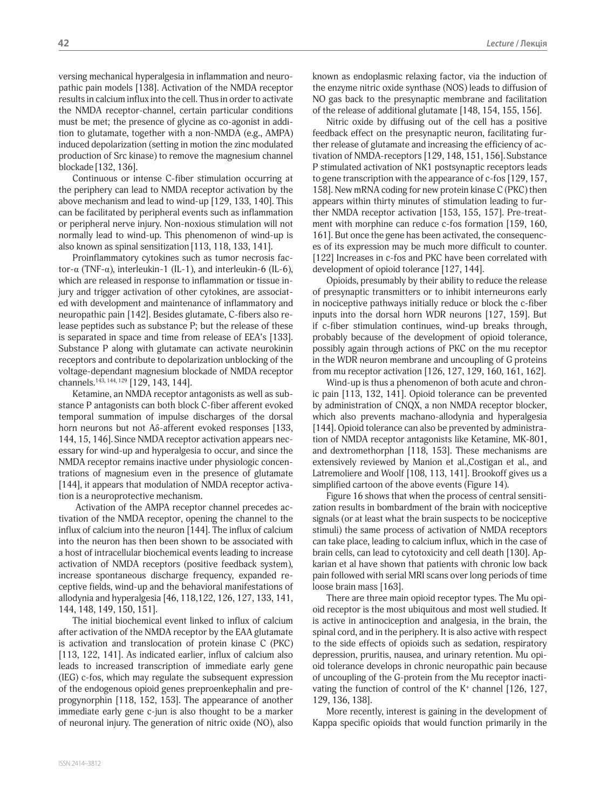versing mechanical hyperalgesia in inflammation and neuropathic pain models [138]. Activation of the NMDA receptor results in calcium influx into the cell. Thus in order to activate the NMDA receptor-channel, certain particular conditions must be met; the presence of glycine as co-agonist in addition to glutamate, together with a non-NMDA (e.g., AMPA) induced depolarization (setting in motion the zinc modulated production of Src kinase) to remove the magnesium channel blockade [132, 136].

Continuous or intense C-fiber stimulation occurring at the periphery can lead to NMDA receptor activation by the above mechanism and lead to wind-up [129, 133, 140]. This can be facilitated by peripheral events such as inflammation or peripheral nerve injury. Non-noxious stimulation will not normally lead to wind-up. This phenomenon of wind-up is also known as spinal sensitization [113, 118, 133, 141].

Proinflammatory cytokines such as tumor necrosis factor-α (TNF-α), interleukin-1 (IL-1), and interleukin-6 (IL-6), which are released in response to inflammation or tissue injury and trigger activation of other cytokines, are associated with development and maintenance of inflammatory and neuropathic pain [142]. Besides glutamate, C-fibers also release peptides such as substance P; but the release of these is separated in space and time from release of EEA's [133]. Substance P along with glutamate can activate neurokinin receptors and contribute to depolarization unblocking of the voltage-dependant magnesium blockade of NMDA receptor channels.143, 144, 129 [129, 143, 144].

Ketamine, an NMDA receptor antagonists as well as substance P antagonists can both block C-fiber afferent evoked temporal summation of impulse discharges of the dorsal horn neurons but not Aδ-afferent evoked responses [133, 144, 15, 146].Since NMDA receptor activation appears necessary for wind-up and hyperalgesia to occur, and since the NMDA receptor remains inactive under physiologic concentrations of magnesium even in the presence of glutamate [144], it appears that modulation of NMDA receptor activation is a neuroprotective mechanism.

 Activation of the AMPA receptor channel precedes activation of the NMDA receptor, opening the channel to the influx of calcium into the neuron [144]. The influx of calcium into the neuron has then been shown to be associated with a host of intracellular biochemical events leading to increase activation of NMDA receptors (positive feedback system), increase spontaneous discharge frequency, expanded receptive fields, wind-up and the behavioral manifestations of allodynia and hyperalgesia [46, 118,122, 126, 127, 133, 141, 144, 148, 149, 150, 151].

The initial biochemical event linked to influx of calcium after activation of the NMDA receptor by the EAA glutamate is activation and translocation of protein kinase C (PKC) [113, 122, 141]. As indicated earlier, influx of calcium also leads to increased transcription of immediate early gene (IEG) c-fos, which may regulate the subsequent expression of the endogenous opioid genes preproenkephalin and preprogynorphin [118, 152, 153]. The appearance of another immediate early gene c-jun is also thought to be a marker of neuronal injury. The generation of nitric oxide (NO), also

known as endoplasmic relaxing factor, via the induction of the enzyme nitric oxide synthase (NOS) leads to diffusion of NO gas back to the presynaptic membrane and facilitation of the release of additional glutamate [148, 154, 155, 156].

Nitric oxide by diffusing out of the cell has a positive feedback effect on the presynaptic neuron, facilitating further release of glutamate and increasing the efficiency of activation of NMDA-receptors [129, 148, 151, 156].Substance P stimulated activation of NK1 postsynaptic receptors leads to gene transcription with the appearance of c-fos [129, 157, 158]. New mRNA coding for new protein kinase C (PKC) then appears within thirty minutes of stimulation leading to further NMDA receptor activation [153, 155, 157]. Pre-treatment with morphine can reduce c-fos formation [159, 160, 161]. But once the gene has been activated, the consequences of its expression may be much more difficult to counter. [122] Increases in c-fos and PKC have been correlated with development of opioid tolerance [127, 144].

Opioids, presumably by their ability to reduce the release of presynaptic transmitters or to inhibit interneurons early in nociceptive pathways initially reduce or block the c-fiber inputs into the dorsal horn WDR neurons [127, 159]. But if c-fiber stimulation continues, wind-up breaks through, probably because of the development of opioid tolerance, possibly again through actions of PKC on the mu receptor in the WDR neuron membrane and uncoupling of G proteins from mu receptor activation [126, 127, 129, 160, 161, 162].

Wind-up is thus a phenomenon of both acute and chronic pain [113, 132, 141]. Opioid tolerance can be prevented by administration of CNQX, a non NMDA receptor blocker, which also prevents machano-allodynia and hyperalgesia [144]. Opioid tolerance can also be prevented by administration of NMDA receptor antagonists like Ketamine, MK-801, and dextromethorphan [118, 153]. These mechanisms are extensively reviewed by Manion et al.,Costigan et al., and Latremoliere and Woolf [108, 113, 141]. Brookoff gives us a simplified cartoon of the above events (Figure 14).

Figure 16 shows that when the process of central sensitization results in bombardment of the brain with nociceptive signals (or at least what the brain suspects to be nociceptive stimuli) the same process of activation of NMDA receptors can take place, leading to calcium influx, which in the case of brain cells, can lead to cytotoxicity and cell death [130]. Apkarian et al have shown that patients with chronic low back pain followed with serial MRI scans over long periods of time loose brain mass [163].

There are three main opioid receptor types. The Mu opioid receptor is the most ubiquitous and most well studied. It is active in antinociception and analgesia, in the brain, the spinal cord, and in the periphery. It is also active with respect to the side effects of opioids such as sedation, respiratory depression, pruritis, nausea, and urinary retention. Mu opioid tolerance develops in chronic neuropathic pain because of uncoupling of the G-protein from the Mu receptor inactivating the function of control of the K<sup>+</sup> channel [126, 127, 129, 136, 138].

More recently, interest is gaining in the development of Kappa specific opioids that would function primarily in the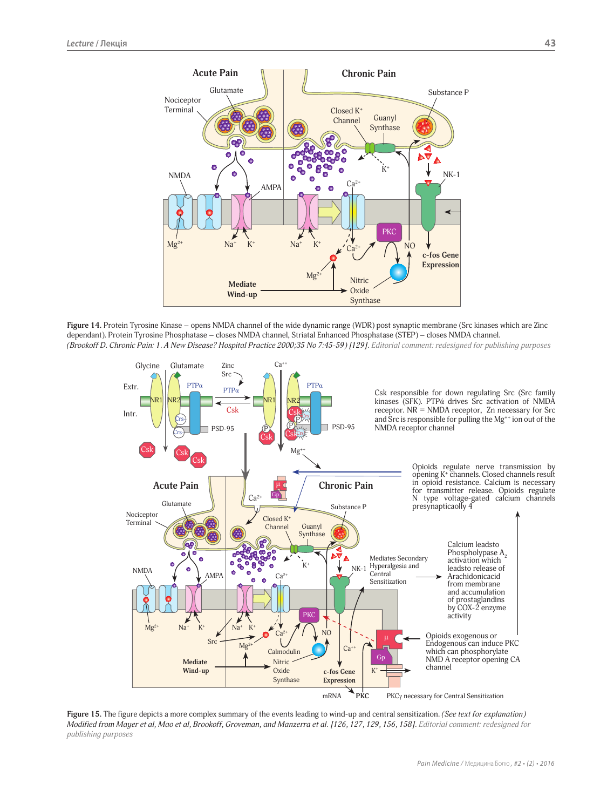

**Figure 14.** Protein Tyrosine Kinase – opens NMDA channel of the wide dynamic range (WDR) post synaptic membrane (Src kinases which are Zinc dependant). Protein Tyrosine Phosphatase – closes NMDA channel, Striatal Enhanced Phosphatase (STEP) – closes NMDA channel. *(Brookoff D. Chronic Pain: 1. A New Disease? Hospital Practice 2000;35 No 7:45-59) [129]. Editorial comment: redesigned for publishing purposes*



**Figure 15.** The figure depicts a more complex summary of the events leading to wind-up and central sensitization. *(See text for explanation) Modified from Mayer et al, Mao et al, Brookoff, Groveman, and Manzerra et al. [126, 127, 129, 156, 158]. Editorial comment: redesigned for publishing purposes*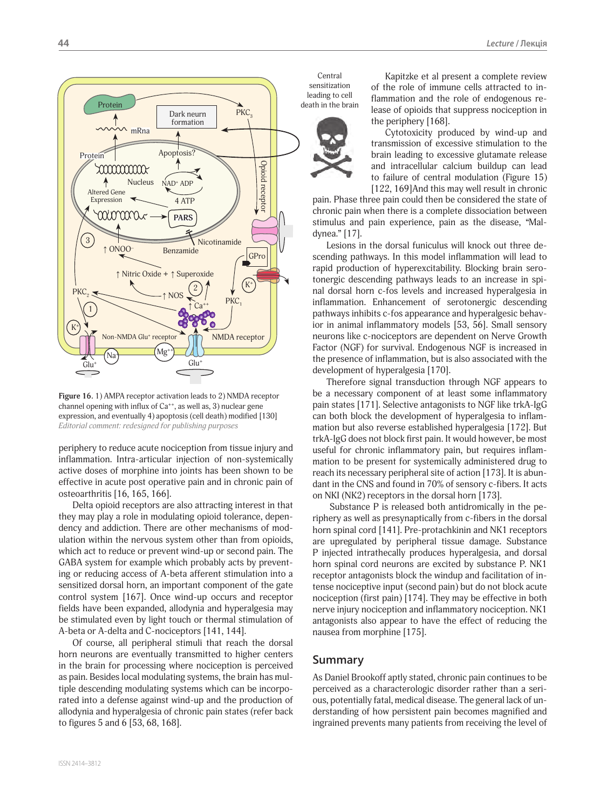

**Figure 16.** 1) AMPA receptor activation leads to 2) NMDA receptor channel opening with influx of  $Ca^{++}$ , as well as, 3) nuclear gene expression, and eventually 4) apoptosis (cell death) modified [130] *Editorial comment: redesigned for publishing purposes*

periphery to reduce acute nociception from tissue injury and inflammation. Intra-articular injection of non-systemically active doses of morphine into joints has been shown to be effective in acute post operative pain and in chronic pain of osteoarthritis [16, 165, 166].

Delta opioid receptors are also attracting interest in that they may play a role in modulating opioid tolerance, dependency and addiction. There are other mechanisms of modulation within the nervous system other than from opioids, which act to reduce or prevent wind-up or second pain. The GABA system for example which probably acts by preventing or reducing access of A-beta afferent stimulation into a sensitized dorsal horn, an important component of the gate control system [167]. Once wind-up occurs and receptor fields have been expanded, allodynia and hyperalgesia may be stimulated even by light touch or thermal stimulation of A-beta or A-delta and C-nociceptors [141, 144].

Of course, all peripheral stimuli that reach the dorsal horn neurons are eventually transmitted to higher centers in the brain for processing where nociception is perceived as pain. Besides local modulating systems, the brain has multiple descending modulating systems which can be incorporated into a defense against wind-up and the production of allodynia and hyperalgesia of chronic pain states (refer back to figures 5 and 6 [53, 68, 168].

Central sensitization leading to cell



Kapitzke et al present a complete review of the role of immune cells attracted to inflammation and the role of endogenous release of opioids that suppress nociception in the periphery [168].

Cytotoxicity produced by wind-up and transmission of excessive stimulation to the brain leading to excessive glutamate release and intracellular calcium buildup can lead to failure of central modulation (Figure 15) [122, 169]And this may well result in chronic

pain. Phase three pain could then be considered the state of chronic pain when there is a complete dissociation between stimulus and pain experience, pain as the disease, "Maldynea." [17].

Lesions in the dorsal funiculus will knock out three descending pathways. In this model inflammation will lead to rapid production of hyperexcitability. Blocking brain serotonergic descending pathways leads to an increase in spinal dorsal horn c-fos levels and increased hyperalgesia in inflammation. Enhancement of serotonergic descending pathways inhibits c-fos appearance and hyperalgesic behavior in animal inflammatory models [53, 56]. Small sensory neurons like c-nociceptors are dependent on Nerve Growth Factor (NGF) for survival. Endogenous NGF is increased in the presence of inflammation, but is also associated with the development of hyperalgesia [170].

Therefore signal transduction through NGF appears to be a necessary component of at least some inflammatory pain states [171]. Selective antagonists to NGF like trkA-IgG can both block the development of hyperalgesia to inflammation but also reverse established hyperalgesia [172]. But trkA-IgG does not block first pain. It would however, be most useful for chronic inflammatory pain, but requires inflammation to be present for systemically administered drug to reach its necessary peripheral site of action [173]. It is abundant in the CNS and found in 70% of sensory c-fibers. It acts on NKI (NK2) receptors in the dorsal horn [173].

 Substance P is released both antidromically in the periphery as well as presynaptically from c-fibers in the dorsal horn spinal cord [141]. Pre-protachkinin and NK1 receptors are upregulated by peripheral tissue damage. Substance P injected intrathecally produces hyperalgesia, and dorsal horn spinal cord neurons are excited by substance P. NK1 receptor antagonists block the windup and facilitation of intense nociceptive input (second pain) but do not block acute nociception (first pain) [174]. They may be effective in both nerve injury nociception and inflammatory nociception. NK1 antagonists also appear to have the effect of reducing the nausea from morphine [175].

### **Summary**

As Daniel Brookoff aptly stated, chronic pain continues to be perceived as a characterologic disorder rather than a serious, potentially fatal, medical disease. The general lack of understanding of how persistent pain becomes magnified and ingrained prevents many patients from receiving the level of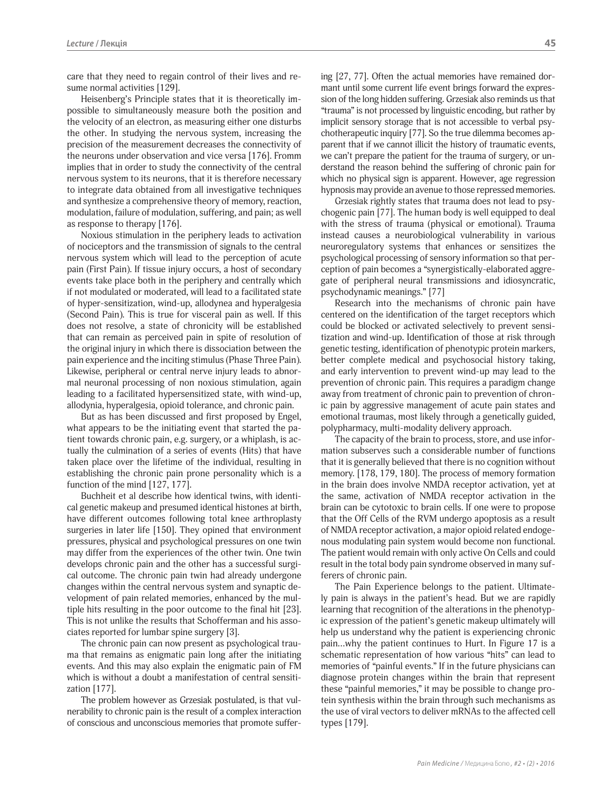care that they need to regain control of their lives and resume normal activities [129].

Heisenberg's Principle states that it is theoretically impossible to simultaneously measure both the position and the velocity of an electron, as measuring either one disturbs the other. In studying the nervous system, increasing the precision of the measurement decreases the connectivity of the neurons under observation and vice versa [176]. Fromm implies that in order to study the connectivity of the central nervous system to its neurons, that it is therefore necessary to integrate data obtained from all investigative techniques and synthesize a comprehensive theory of memory, reaction, modulation, failure of modulation, suffering, and pain; as well as response to therapy [176].

Noxious stimulation in the periphery leads to activation of nociceptors and the transmission of signals to the central nervous system which will lead to the perception of acute pain (First Pain). If tissue injury occurs, a host of secondary events take place both in the periphery and centrally which if not modulated or moderated, will lead to a facilitated state of hyper-sensitization, wind-up, allodynea and hyperalgesia (Second Pain). This is true for visceral pain as well. If this does not resolve, a state of chronicity will be established that can remain as perceived pain in spite of resolution of the original injury in which there is dissociation between the pain experience and the inciting stimulus (Phase Three Pain). Likewise, peripheral or central nerve injury leads to abnormal neuronal processing of non noxious stimulation, again leading to a facilitated hypersensitized state, with wind-up, allodynia, hyperalgesia, opioid tolerance, and chronic pain.

But as has been discussed and first proposed by Engel, what appears to be the initiating event that started the patient towards chronic pain, e.g. surgery, or a whiplash, is actually the culmination of a series of events (Hits) that have taken place over the lifetime of the individual, resulting in establishing the chronic pain prone personality which is a function of the mind [127, 177].

Buchheit et al describe how identical twins, with identical genetic makeup and presumed identical histones at birth, have different outcomes following total knee arthroplasty surgeries in later life [150]. They opined that environment pressures, physical and psychological pressures on one twin may differ from the experiences of the other twin. One twin develops chronic pain and the other has a successful surgical outcome. The chronic pain twin had already undergone changes within the central nervous system and synaptic development of pain related memories, enhanced by the multiple hits resulting in the poor outcome to the final hit [23]. This is not unlike the results that Schofferman and his associates reported for lumbar spine surgery [3].

The chronic pain can now present as psychological trauma that remains as enigmatic pain long after the initiating events. And this may also explain the enigmatic pain of FM which is without a doubt a manifestation of central sensitization [177].

The problem however as Grzesiak postulated, is that vulnerability to chronic pain is the result of a complex interaction of conscious and unconscious memories that promote suffering [27, 77]. Often the actual memories have remained dormant until some current life event brings forward the expression of the long hidden suffering. Grzesiak also reminds us that "trauma" is not processed by linguistic encoding, but rather by implicit sensory storage that is not accessible to verbal psychotherapeutic inquiry [77]. So the true dilemma becomes apparent that if we cannot illicit the history of traumatic events, we can't prepare the patient for the trauma of surgery, or understand the reason behind the suffering of chronic pain for which no physical sign is apparent. However, age regression hypnosis may provide an avenue to those repressed memories.

Grzesiak rightly states that trauma does not lead to psychogenic pain [77]. The human body is well equipped to deal with the stress of trauma (physical or emotional). Trauma instead causes a neurobiological vulnerability in various neuroregulatory systems that enhances or sensitizes the psychological processing of sensory information so that perception of pain becomes a "synergistically-elaborated aggregate of peripheral neural transmissions and idiosyncratic, psychodynamic meanings." [77]

Research into the mechanisms of chronic pain have centered on the identification of the target receptors which could be blocked or activated selectively to prevent sensitization and wind-up. Identification of those at risk through genetic testing, identification of phenotypic protein markers, better complete medical and psychosocial history taking, and early intervention to prevent wind-up may lead to the prevention of chronic pain. This requires a paradigm change away from treatment of chronic pain to prevention of chronic pain by aggressive management of acute pain states and emotional traumas, most likely through a genetically guided, polypharmacy, multi-modality delivery approach.

The capacity of the brain to process, store, and use information subserves such a considerable number of functions that it is generally believed that there is no cognition without memory. [178, 179, 180]. The process of memory formation in the brain does involve NMDA receptor activation, yet at the same, activation of NMDA receptor activation in the brain can be cytotoxic to brain cells. If one were to propose that the Off Cells of the RVM undergo apoptosis as a result of NMDA receptor activation, a major opioid related endogenous modulating pain system would become non functional. The patient would remain with only active On Cells and could result in the total body pain syndrome observed in many sufferers of chronic pain.

The Pain Experience belongs to the patient. Ultimately pain is always in the patient's head. But we are rapidly learning that recognition of the alterations in the phenotypic expression of the patient's genetic makeup ultimately will help us understand why the patient is experiencing chronic pain…why the patient continues to Hurt. In Figure 17 is a schematic representation of how various "hits" can lead to memories of "painful events." If in the future physicians can diagnose protein changes within the brain that represent these "painful memories," it may be possible to change protein synthesis within the brain through such mechanisms as the use of viral vectors to deliver mRNAs to the affected cell types [179].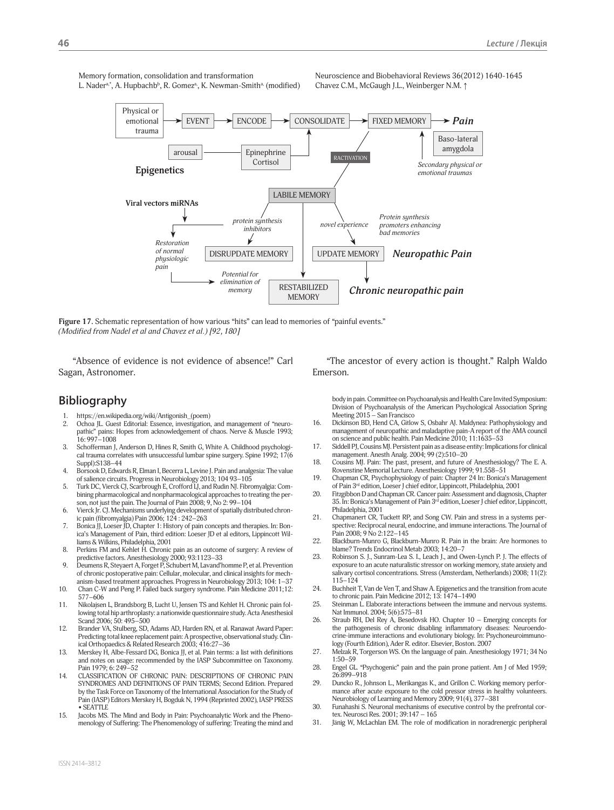Memory formation, consolidation and transformation L. Nader<sup>a,</sup>\*, A. Hupbachbʰ, R. Gomezª, K. Newman-Smithª<sub>'</sub> (modified) Neuroscience and Biobehavioral Reviews 36(2012) 1640-1645 Chavez C.M., McGaugh J.L., Weinberger N.M. ↑



**Figure 17.** Schematic representation of how various "hits" can lead to memories of "painful events." *(Modified from Nadel et al and Chavez et al.) [92, 180]*

"Absence of evidence is not evidence of absence!" Carl Sagan, Astronomer.

"The ancestor of every action is thought." Ralph Waldo Emerson.

## **Bibliography**

- 1. https://en.wikipedia.org/wiki/Antigonish\_(poem)<br>2. Ochoa IL. Guest Editorial: Essence, investigation
- Ochoa JL. Guest Editorial: Essence, investigation, and management of "neuropathic" pains: Hopes from acknowledgement of chaos. Nerve & Muscle 1993;  $16.997 - 1008$
- 3. Schofferman J, Anderson D, Hines R, Smith G, White A. Childhood psychological trauma correlates with unsuccessful lumbar spine surgery. Spine 1992; 17(6 Suppl):S138–44
- 4. Borsook D, Edwards R, Elman I, Becerra L, Levine J. Pain and analgesia: The value of salience circuits. Progress in Neurobiology 2013; 104 93–105
- 5. Turk DC, Vierck CJ, Scarbrough E, Crofford LJ, and Rudin NJ. Fibromyalgia: Combining pharmacological and nonpharmacological approaches to treating the person, not just the pain. The Journal of Pain 2008; 9, No 2: 99–104
- 6. Vierck Jr. CJ. Mechanisms underlying development of spatially distributed chronic pain (fibromyalgia) Pain 2006; 124 : 242–263
- 7. Bonica JJ, Loeser JD, Chapter 1: History of pain concepts and therapies. In: Bonica's Management of Pain, third edition: Loeser JD et al editors, Lippincott Williams & Wilkins, Philadelphia, 2001
- 8. Perkins FM and Kehlet H. Chronic pain as an outcome of surgery: A review of predictive factors. Anesthesiology 2000; 93:1123–33
- 9. Deumens R, Steyaert A, Forget P, Schubert M, Lavand'homme P, et al. Prevention of chronic postoperative pain: Cellular, molecular, and clinical insights for mech-
- anism-based treatment approaches. Progress in Neurobiology 2013; 104: 1–37 10. Chan C-W and Peng P. Failed back surgery syndrome. Pain Medicine 2011;12: 577–606
- 11. Nikolajsen L, Brandsborg B, Lucht U, Jensen TS and Kehlet H. Chronic pain following total hip arthroplasty: a nationwide questionnaire study. Acta Anesthesiol Scand 2006; 50: 495–500
- 12. Brander VA, Stulberg, SD, Adams AD, Harden RN, et al. Ranawat Award Paper: Predicting total knee replacement pain: A prospective, observational study. Clinical Orthopaedics & Related Research 2003; 416:27–36
- 13. Merskey H, Albe-Fessard DG, Bonica JJ, et al. Pain terms: a list with definitions and notes on usage: recommended by the IASP Subcommittee on Taxonomy. Pain 1979; 6: 249–52
- 14. CLASSIFICATION OF CHRONIC PAIN: DESCRIPTIONS OF CHRONIC PAIN SYNDROMES AND DEFINITIONS OF PAIN TERMS; Second Edition. Prepared by the Task Force on Taxonomy of the International Association for the Study of Pain (IASP) Editors Merskey H, Bogduk N, 1994 (Reprinted 2002), IASP PRESS • SEATTLE
- 15. Jacobs MS. The Mind and Body in Pain: Psychoanalytic Work and the Phenomenology of Suffering: The Phenomenology of suffering: Treating the mind and

body in pain. Committee on Psychoanalysis and Health Care Invited Symposium: Division of Psychoanalysis of the American Psychological Association Spring Meeting 2015 – San Francisco

- 16. Dickinson BD, Hend CA, Gitlow S, Osbahr AJ. Maldynea: Pathophysiology and management of neuropathic and maladaptive pain-A report of the AMA council on science and public health. Pain Medicine 2010; 11:1635–53
- 17. Siddell PJ, Cousins MJ. Persistent pain as a disease entity: Implications for clinical management. Anesth Analg. 2004; 99 (2):510–20
- 18. Cousins MJ. Pain: The past, present, and future of Anesthesiology? The E. A. Rovenstine Memorial Lecture. Anesthesiology 1999; 91.558–51
- 19. Chapman CR, Psychophysiology of pain: Chapter 24 In: Bonica's Management of Pain 3rd edition, Loeser J chief editor, Lippincott, Philadelphia, 2001
- 20. Fitzgibbon D and Chapman CR. Cancer pain: Assessment and diagnosis, Chapter 35. In: Bonica's Management of Pain 3<sup>rd</sup> edition, Loeser J chief editor, Lippincott, Philadelphia, 2001
- 21. Chapmanert CR, Tuckett RP, and Song CW. Pain and stress in a systems perspective: Reciprocal neural, endocrine, and immune interactions. The Journal of Pain 2008; 9 No 2:122–145
- 22. Blackburn-Munro G, Blackburn-Munro R. Pain in the brain: Are hormones to blame? Trends Endocrinol Metab 2003; 14:20–7
- 23. Robinson S. J., Sunram-Lea S. I., Leach J., and Owen-Lynch P. J. The effects of exposure to an acute naturalistic stressor on working memory, state anxiety and salivary cortisol concentrations. Stress (Amsterdam, Netherlands) 2008; 11(2): 115–124
- 24. Buchheit T, Van de Ven T, and Shaw A. Epigenetics and the transition from acute to chronic pain. Pain Medicine 2012; 13: 1474–1490
- 25. Steinman L. Elaborate interactions between the immune and nervous systems. Nat Immunol. 2004; 5(6):575–81
- 26. Straub RH, Del Rey A, Besedovsk HO. Chapter 10 Emerging concepts for the pathogenesis of chronic disabling inflammatory diseases: Neuroendocrine-immune interactions and evolutionary biology. In: Psychoneuroimmunology (Fourth Edition), Ader R. editor. Elsevier, Boston. 2007
- 27. Melzak R, Torgerson WS. On the language of pain. Anesthesiology 1971; 34 No 1:50–59
- 28. Engel GL. "Psychogenic" pain and the pain prone patient. Am J of Med 1959; 26:899–918
- 29. Duncko R., Johnson L., Merikangas K., and Grillon C. Working memory performance after acute exposure to the cold pressor stress in healthy volunteers. Neurobiology of Learning and Memory 2009; 91(4), 377–381
- 30. Funahashi S. Neuronal mechanisms of executive control by the prefrontal cortex. Neurosci Res. 2001; 39:147 – 165
- 31. Jänig W, McLachlan EM. The role of modification in noradrenergic peripheral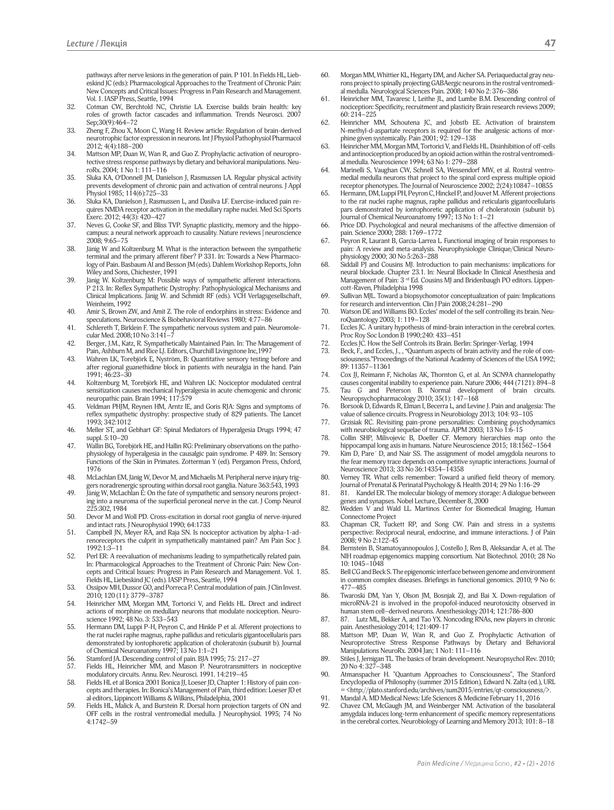pathways after nerve lesions in the generation of pain. P 101. In Fields HL, Liebeskind JC (eds): Pharmacological Approaches to the Treatment of Chronic Pain: New Concepts and Critical Issues: Progress in Pain Research and Management. Vol. 1. IASP Press, Seattle, 1994

- 32. Cotman CW, Berchtold NC, Christie LA. Exercise builds brain health: key roles of growth factor cascades and inflammation. Trends Neurosci. 2007 Sep;30(9):464–72
- 33. Zheng F, Zhou X, Moon C, Wang H. Review article: Regulation of brain-derived neurotrophic factor expression in neurons. Int J Physiol Pathophysiol Pharmacol 2012; 4(4):188–200
- 34. Mattson MP, Duan W, Wan R, and Guo Z. Prophylactic activation of neuroprotective stress response pathways by dietary and behavioral manipulations. NeuroRx. 2004; 1 No 1: 111–116
- 35. Sluka KA, O'Donnell JM, Danielson J, Rasmussen LA. Regular physical activity prevents development of chronic pain and activation of central neurons. J Appl Physiol 1985; 114(6):725–33
- 36. Sluka KA, Danielson J, Rasmussen L, and Dasilva LF. Exercise-induced pain requires NMDA receptor activation in the medullary raphe nuclei. Med Sci Sports Exerc. 2012; 44(3): 420–427
- 37. Neves G, Cooke SF, and Bliss TVP. Synaptic plasticity, memory and the hippocampus: a neural network approach to causality. Nature reviews | neuroscience 2008; 9:65–75
- 38. Jänig W and Koltzenburg M. What is the interaction between the sympathetic terminal and the primary afferent fiber? P 331. In: Towards a New Pharmacology of Pain. Basbaum AI and Besson JM (eds). Dahlem Workshop Reports, John Wiley and Sons, Chichester, 1991
- 39. Jänig W. Koltzenburg M: Possible ways of sympathetic afferent interactions. P 213. In: Reflex Sympathetic Dystrophy: Pathophysiological Mechanisms and Clinical Implications. Jänig W. and Schmidt RF (eds). VCH Verlagsgesellschaft, Weinheim, 1992
- 40. Amir S, Brown ZW, and Amit Z. The role of endorphins in stress: Evidence and speculations. Neuroscience & Biobehavioral Reviews 1980; 4:77–86
- 41. Schlereth T, Birklein F. The sympathetic nervous system and pain. Neuromolecular Med. 2008;10 No 3:141–7
- 42. Berger, J.M., Katz, R. Sympathetically Maintained Pain. In: The Management of Pain, Ashburn M, and Rice LJ. Editors, Churchill Livingstone Inc,1997
- 43. Wahren LK, Torebjörk E, Nyström, B: Quantitative sensory testing before and after regional guanethidine block in patients with neuralgia in the hand. Pain 1991; 46:23–30
- 44. Koltzenburg M, Torebjörk HE, and Wahren LK: Nociceptor modulated central sensitization causes mechanical hyperalgesia in acute chemogenic and chronic neuropathic pain. Brain 1994; 117:579
- 45. Veldman PHJM, Reynen HM, Arntz IE, and Goris RJA: Signs and symptoms of reflex sympathetic dystrophy: prospective study of 829 patients. The Lancet 1993; 342:1012
- 46. Meller ST, and Gebhart GF: Spinal Mediators of Hyperalgesia Drugs 1994; 47 suppl. 5:10–20
- 47. Wallin BG, Torebjörk HE, and Hallin RG: Preliminary observations on the pathophysiology of hyperalgesia in the causalgic pain syndrome. P 489. In: Sensory Functions of the Skin in Primates. Zotterman Y (ed). Pergamon Press, Oxford,
- 1976 48. McLachlan EM, Jänig W, Devor M, and Michaelis M. Peripheral nerve injury triggers noradrenergic sprouting within dorsal root ganglia. Nature 363:543, 1993
- 49. Jänig W, McLachlan E: On the fate of sympathetic and sensory neurons projecting into a neuroma of the superficial peroneal nerve in the cat. J Comp Neurol 225:302, 1984
- 50. Devor M and Woll PD. Cross-excitation in dorsal root ganglia of nerve-injured and intact rats. J Neurophysiol 1990; 64:1733
- 51. Campbell JN, Meyer RA, and Raja SN. Is nociceptor activation by alpha-1-adrenoreceptors the culprit in sympathetically maintained pain? Am Pain Soc J. 1992:1:3–11
- 52. Perl ER: A reevaluation of mechanisms leading to sympathetically related pain. In: Pharmacological Approaches to the Treatment of Chronic Pain: New Concepts and Critical Issues: Progress in Pain Research and Management. Vol. 1. Fields HL, Liebeskind JC (eds). IASP Press, Seattle, 1994
- 53. Ossipov MH, Dussor GO, and Porreca P. Central modulation of pain. J Clin Invest. 2010; 120 (11): 3779–3787
- 54. Heinricher MM, Morgan MM, Tortorici V, and Fields HL. Direct and indirect actions of morphine on medullary neurons that modulate nociception. Neuroscience 1992; 48 No. 3: 533–543
- 55. Hermann DM, Luppi P-H, Peyron C, and Hinkle P et al. Afferent projections to the rat nuclei raphe magnus, raphe pallidus and reticularis gigantocellularis pars demonstrated by iontophoretic application of choleratoxin (subunit b). Journal of Chemical Neuroanatomy 1997; 13 No 1:1–21
- 56. Stamford JA. Descending control of pain. BJA 1995; 75: 217–27
- Fields HL, Heinricher MM, and Mason P. Neurotransmitters in nociceptive modulatory circuits. Annu. Rev. Neurosci. 1991. 14:219-45
- 58. Fields HL et al Bonica 2001 Bonica JJ, Loeser JD, Chapter 1: History of pain concepts and therapies. In: Bonica's Management of Pain, third edition: Loeser JD et al editors, Lippincott Williams & Wilkins, Philadelphia, 2001
- 59. Fields HL, Malick A, and Burstein R. Dorsal horn projection targets of ON and OFF cells in the rostral ventromedial medulla. J Neurophysiol. 1995; 74 No 4:1742–59
- 60. Morgan MM, Whittier KL, Hegarty DM, and Aicher SA. Periaqueductal gray neurons project to spinally projecting GABAergic neurons in the rostral ventromedial medulla. Neurological Sciences Pain. 2008; 140 No 2: 376–386
- 61. Heinricher MM, Tavaresc I, Leithe JL, and Lumbe B.M. Descending control of nociception: Specificity, recruitment and plasticity Brain research reviews 2009; 60: 214–225
- 62. Heinricher MM, Schoutena JC, and Jobstb EE. Activation of brainstem N-methyl-d-aspartate receptors is required for the analgesic actions of morphine given systemically. Pain 2001; 92: 129–138
- 63. Heinricher MM, Morgan MM, Tortorici V, and Fields HL. Disinhibition of off-cells and antinociception produced by an opioid action within the rostral ventromedial medulla. Neuroscience 1994; 63 No 1: 279–288
- 64. Marinelli S, Vaughan CW, Schnell SA, Wessendorf MW, et al. Rostral ventromedial medulla neurons that project to the spinal cord express multiple opioid receptor phenotypes. The Journal of Neuroscience 2002; 2(24):10847-10855
- 65. Hermann, DM, Luppi PH, Peyron C, Hinckel P, and Jouvet M. Afferent projections to the rat nuclei raphe magnus, raphe pallidus and reticularis gigantocellularis pars demonstrated by iontophoretic application of choleratoxin (subunit b). Journal of Chemical Neuroanatomy 1997; 13 No 1: 1–21
- 66. Price DD. Psychological and neural mechanisms of the affective dimension of pain. Science 2000; 288: 1769–1772
- 67. Peyron R, Laurant B, Garcia-Larrea L. Functional imaging of brain responses to pain: A review and meta-analysis. Neurophysiologie Clinique/Clinical Neurophysiology 2000; 30 No 5:263–288
- 68. Siddall PJ and Cousins MJ. Introduction to pain mechanisms: implications for neural blockade. Chapter 23.1. In: Neural Blockade In Clinical Anesthesia and Management of Pain: 3<sup>rd</sup> Ed. Cousins MJ and Bridenbaugh PO editors. Lippencott-Raven, Philadelphia 1998
- 69. Sullivan MJL. Toward a biopsychomotor conceptualization of pain: Implications for research and intervention. Clin J Pain 2008;24:281–290
- 70. Watson DE and Williams BO. Eccles' model of the self controlling its brain. NeuroQuantology 2003; 1: 119–128
- 71. Eccles JC. A unitary hypothesis of mind-brain interaction in the cerebral cortex. Proc Roy Soc London B 1990;240: 433–451
- France S. Eccles JC. How the Self Controls its Brain. Berlin: Springer-Verlag. 1994<br>
73. Beck. F., and Eccles, I., . "Quantum aspects of brain activity and the role
- Beck, F., and Eccles, J., , "Quantum aspects of brain activity and the role of consciousness."Proceedings of the National Academy of Sciences of the USA 1992; 89: 11357–11361
- 74. Cox JJ, Reimann F, Nicholas AK, Thornton G, et al. An SCN9A channelopathy causes congenital inability to experience pain. Nature 2006; 444 (7121): 894–8
- 75. Tau G and Peterson B. Normal development of brain circuits. Neuropsychopharmacology 2010; 35(1): 147–168
- 76. Borsook D, Edwards R, Elman I, Becerra L, and Levine J. Pain and analgesia: The value of salience circuits. Progress in Neurobiology 2013; 104: 93–105
- 77. Grzisiak RC. Revisiting pain-prone personalities: Combining psychodynamics with neurobiological sequelae of trauma. AJPM 2003; 13 No 1:6-15
- 78. Collin SHP, Milivojevic B, Doeller CF. Memory hierarchies map onto the hippocampal long axis in humans. Nature Neuroscience 2015; 18:1562–1564
- 79. Kim D, Pare´ D, and Nair SS. The assignment of model amygdola neurons to the fear memory trace depends on competitive synaptic interactions. Journal of Neuroscience 2013; 33 No 36:14354–14358
- 80. Verney TR. What cells remember: Toward a unified field theory of memory. Journal of Prenatal & Perinatal Psychology & Health 2014; 29 No 1:16-29
- 81. 81. Kandel ER. The molecular biology of memory storage: A dialogue between genes and synapses. Nobel Lecture, December 8, 2000
- 82. Wedden V and Wald LL. Martinos Center for Biomedical Imaging, Human Connectome Project
- 83. Chapman CR, Tuckett RP, and Song CW. Pain and stress in a systems perspective: Reciprocal neural, endocrine, and immune interactions. J of Pain 2008; 9 No 2:122-45
- 84. Bernstein B, Stamatoyannopoulos J, Costello J, Ren B, Aleksandar A, et al. The NIH roadmap epigenomics mapping consortium. Nat Biotechnol. 2010; 28 No 10: 1045–1048
- 85. Bell CG and Beck S. The epigenomic interface between genome and environment in common complex diseases. Briefings in functional genomics. 2010; 9 No 6: 477–485
- 86. Twaroski DM, Yan Y, Olson JM, Bosnjak ZJ, and Bai X. Down-regulation of microRNA-21 is involved in the propofol-induced neurotoxicity observed in human stem cell–derived neurons. Anesthesiology 2014; 121:786-800
- 87. 87. Lutz ML, Bekker A, and Tao YX. Noncoding RNAs, new players in chronic pain. Anesthesiology 2014; 121:409-17
- 88. Mattson MP, Duan W, Wan R, and Guo Z. Prophylactic Activation of Neuroprotective Stress Response Pathways by Dietary and Behavioral Manipulations NeuroRx. 2004 Jan; 1 No1: 111–116
- 89. Stiles J, Jernigan TL. The basics of brain development. Neuropsychol Rev. 2010; 20 No 4: 327–348
- 90. Atmanspacher H. "Quantum Approaches to Consciousness", The Stanford Encyclopedia of Philosophy (summer 2015 Edition), Edward N. Zalta (ed.), URL = <http://plato.stanford.edu/archives/sum2015/entries/qt-consciousness/>.
- 91. Mandal A. MD Medical News: Life Sciences & Medicine February 11, 2016 92. Chavez CM, McGaugh JM, and Weinberger NM. Activation of the basolateral amygdala induces long-term enhancement of specific memory representations in the cerebral cortex. Neurobiology of Learning and Memory 2013; 101: 8–18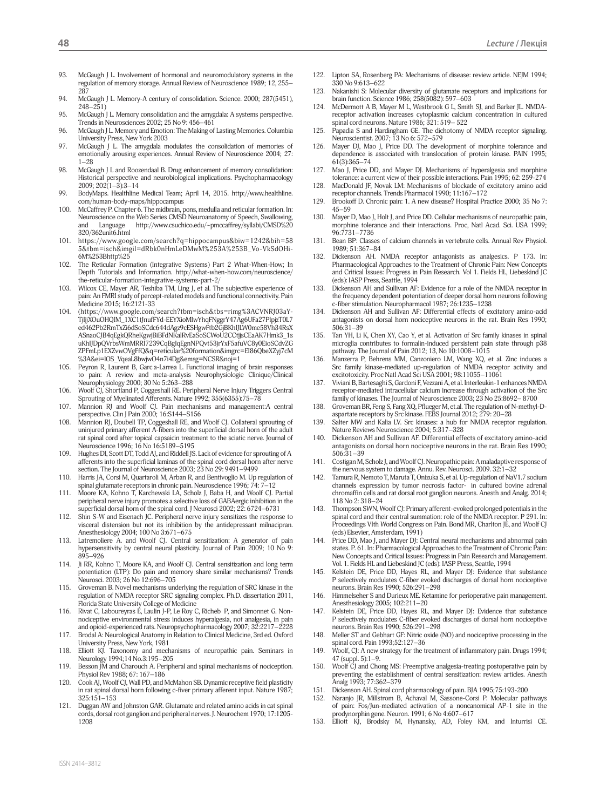- 93. McGaugh J L. Involvement of hormonal and neuromodulatory systems in the regulation of memory storage. Annual Review of Neuroscience 1989; 12, 255– 287
- 94. McGaugh J L. Memory-A century of consolidation. Science. 2000; 287(5451), 248–251)
- 95. McGaugh J L. Memory consolidation and the amygdala: A systems perspective. Trends in Neurosciences 2002; 25 No 9: 456–461
- 96. McGaugh J L. Memory and Emotion: The Making of Lasting Memories. Columbia University Press, New York 2003
- 97. McGaugh J L. The amygdala modulates the consolidation of memories of emotionally arousing experiences. Annual Review of Neuroscience 2004; 27: 1–28
- 98. McGaugh J L and Roozendaal B. Drug enhancement of memory consolidation: Historical perspective and neurobiological implications. Psychopharmacology  $2009; 202(1-3):3-14$
- 99. BodyMaps. Healthline Medical Team; April 14, 2015. http://www.healthline. com/human-body-maps/hippocampus
- 100. McCaffrey P. Chapter 6. The midbrain, pons, medulla and reticular formation. In: Neuroscience on the Web Series CMSD Neuroanatomy of Speech, Swallowing, and Language http://www.csuchico.edu/~pmccaffrey/syllabi/CMSD%20 320/362unit6.html
- 101. https://www.google.com/search?q=hippocampus&biw=1242&bih=58 5&tbm=isch&imgil=dRbk0nHmLeDMwM%253A%253B\_Vo-VkSdOHi-6M%253Bhttp%25
- 102. The Reticular Formation (Integrative Systems) Part 2 What-When-How; In Depth Tutorials and Information. http://what-when-how.com/neuroscience/ the-reticular-formation-integrative-systems-part-2/
- 103. Wilcox CE, Mayer AR, Teshiba TM, Ling J, et al. The subjective experience of pain: An FMRI study of percept-related models and functional connectivity. Pain Medicine 2015; 16:2121-33
- 104. (https://www.google.com/search?tbm=isch&tbs=rimg%3ACVNRJ03aY-TjIjjXOuOHQIM\_1XC1tJnufFYd-EEYXioMIwYhqFNggrY47Ag6UFa27PlpjzT0L7 ed462Pb2RmTxZi6dSoSCdc644dAgz9cESHgwFtb2GjBKhIJLW0me58Vh34RsX ASnaoCJB4qEgkQRheKgwjBiBFdNKalRvEaSoSCWoU2CCtjjsCEaAK7Hmk3\_1s uKhIJDpQVrbsWmMRRI7239CqBgIqEgnNPQvt53jrYxF5afuVC8y0EioSCdvZG ZPFmLp1EXZvwOVgFfQ&q=reticular%20formation&imgrc=EI86QbeXZyj7cM %3A&ei=lOS\_VqeaL8bwjwO4n7i4Dg&emsg=NCSR&noj=1
- 105. Peyron R, Laurent B, Garca-Larrea L. Functional imaging of brain responses to pain: A review and meta-analysis Neurophysiologie Clinique/Clinical Neurophysiology 2000; 30 No 5:263–288
- 106. Woolf CJ, Shortland P, Coggeshall RE. Peripheral Nerve Injury Triggers Central Sprouting of Myelinated Afferents. Nature 1992; 355(6355):75–78
- 107. Mannion RJ and Woolf CJ. Pain mechanisms and management:A central perspective. Clin J Pain 2000; 16:S144–S156
- 108. Mannion RJ, Doubell TP, Coggeshall RE, and Woolf CJ. Collateral sprouting of uninjured primary afferent A-fibers into the superficial dorsal horn of the adult rat spinal cord after topical capsaicin treatment to the sciatic nerve. Journal of Neuroscience 1996; 16 No 16:5189–5195
- 109. Hughes DI, Scott DT, Todd AJ, and Riddell JS. Lack of evidence for sprouting of A afferents into the superficial laminas of the spinal cord dorsal horn after nerve section. The Journal of Neuroscience 2003; 23 No 29: 9491–9499
- 110. Harris JA, Corsi M, Quartaroli M, Arban R, and Bentivoglio M. Up regulation of spinal glutamate receptors in chronic pain. Neuroscience 1996; 74: 7–12
- 111. Moore KA, Kohno T, Karchewski LA, Scholz J, Baba H, and Woolf CJ. Partial peripheral nerve injury promotes a selective loss of GABAergic inhibition in the superficial dorsal horn of the spinal cord. J Neurosci 2002; 22: 6724–6731
- 112. Shin S-W and Eisenach JC. Peripheral nerve injury sensitizes the response to visceral distension but not its inhibition by the antidepressant milnacipran. Anesthesiology 2004; 100 No 3:671–675
- 113. Latremoliere A. and Woolf CJ. Central sensitization: A generator of pain hypersensitivity by central neural plasticity. Journal of Pain 2009; 10 No 9: 895–926
- 114. Ji RR, Kohno T, Moore KA, and Woolf CJ. Central sensitization and long term potentiation (LTP): Do pain and memory share similar mechanisms? Trends Neurosci. 2003; 26 No 12:696–705
- 115. Groveman B. Novel mechanisms underlying the regulation of SRC kinase in the regulation of NMDA receptor SRC signaling complex. Ph.D. dissertation 2011, Florida State University College of Medicine
- 116. Rivat C, Laboureyras E, Laulin J-P, Le Roy C, Richeb P, and Simonnet G. Nonnociceptive environmental stress induces hyperalgesia, not analgesia, in pain and opioid-experienced rats. Neuropsychopharmacology 2007; 32:2217–2228
- 117. Brodal A: Neurological Anatomy in Relation to Clinical Medicine, 3rd ed. Oxford University Press, New York, 1981
- 118. Elliott KJ. Taxonomy and mechanisms of neuropathic pain. Seminars in Neurology 1994;14 No.3:195–205
- 119. Besson JM and Charouch A. Peripheral and spinal mechanisms of nociception. Physiol Rev 1988; 67: 167–186
- 120. Cook AJ, Woolf CJ, Wall PD, and McMahon SB. Dynamic receptive field plasticity in rat spinal dorsal horn following c-fiver primary afferent input. Nature 1987; 325:151–153
- 121. Duggan AW and Johnston GAR. Glutamate and related amino acids in cat spinal cords, dorsal root ganglion and peripheral nerves. J. Neurochem 1970; 17:1205- 1208
- 122. Lipton SA, Rosenberg PA: Mechanisms of disease: review article. NEJM 1994; 330 No 9:613–622
- 123. Nakanishi S: Molecular diversity of glutamate receptors and implications for brain function. Science 1986; 258(5082): 597–603
- 124. McDermott A B, Mayer M L, Westbrook G L, Smith SJ, and Barker JL. NMDAreceptor activation increases cytoplasmic calcium concentration in cultured spinal cord neurons. Nature 1986; 321: 519– 522
- 125. Papadia S and Hardingham GE. The dichotomy of NMDA receptor signaling. Neuroscientist. 2007; 13 No 6: 572–579
- 126. Mayer DJ, Mao J, Price DD. The development of morphine tolerance and dependence is associated with translocation of protein kinase. PAIN 1995; 61(3):365–74
- 127. Mao J, Price DD, and Mayer DJ. Mechanisms of hyperalgesia and morphine tolerance: a current view of their possible interactions. Pain 1995; 62: 259-274
- 128. MacDonald JF, Novak LM: Mechanisms of blockade of excitatory amino acid receptor channels. Trends Pharmacol 1990; 11:167–172
- 129. Brookoff D. Chronic pain: 1. A new disease? Hospital Practice 2000; 35 No 7: 45–59
- 130. Mayer D, Mao J, Holt J, and Price DD. Cellular mechanisms of neuropathic pain, morphine tolerance and their interactions. Proc, Natl Acad. Sci. USA 1999; 96:7731–7736
- 131. Bean BP: Classes of calcium channels in vertebrate cells. Annual Rev Physiol. 1989; 51:367–84
- Dickenson AH. NMDA receptor antagonists as analgesics. P 173. In: Pharmacological Approaches to the Treatment of Chronic Pain: New Concepts and Critical Issues: Progress in Pain Research. Vol 1. Fields HL, Liebeskind JC (eds): IASP Press, Seattle, 1994
- Dickenson AH and Sullivan AF: Evidence for a role of the NMDA receptor in the frequency dependent potentiation of deeper dorsal horn neurons following c-fiber stimulation. Neuropharmacol 1987; 26:1235–1238
- 134. Dickenson AH and Sullivan AF: Differential effects of excitatory amino-acid antagonists on dorsal horn nociceptive neurons in the rat. Brain Res 1990; 506:31–39
- 135. Tan YH, Li K, Chen XY, Cao Y, et al. Activation of Src family kinases in spinal microglia contributes to formalin-induced persistent pain state through p38 pathway. The Journal of Pain 2012; 13, No 10:1008-1015
- 136. Manzerra P, Behrens MM, Canzoniero LM, Wang XQ, et al. Zinc induces a Src family kinase-mediated up-regulation of NMDA receptor activity and excitotoxicity. Proc Natl Acad Sci USA 2001; 98:11055–11061
- Viviani B, Bartesaghi S, Gardoni F, Vezzani A, et al. Interleukin-1 enhances NMDA receptor-mediated intracellular calcium increase through activation of the Src family of kinases. The Journal of Neuroscience 2003; 23 No 25:8692– 8700
- 138. Groveman BR, Feng S, Fang XQ, Pflueger M, et.al. The regulation of N-methyl-Daspartate receptors by Src kinase. FEBS Journal 2012; 279: 20–28
- 139. Salter MW and Kalia LV. Src kinases: a hub for NMDA receptor regulation. Nature Reviews Neuroscience 2004; 5:317–328
- 140. Dickenson AH and Sullivan AF. Differential effects of excitatory amino-acid antagonists on dorsal horn nociceptive neurons in the rat. Brain Res 1990; 506:31–39
- 141. Costigan M, Scholz J, and Woolf CJ. Neuropathic pain: A maladaptive response of the nervous system to damage. Annu. Rev. Neurosci. 2009. 32:1–32
- 142. Tamura R, Nemoto T, Maruta T, Onizuka S, et al. Up-regulation of NaV1.7 sodium channels expression by tumor necrosis factor- in cultured bovine adrenal chromaffin cells and rat dorsal root ganglion neurons. Anesth and Analg. 2014; 118 No 2: 318–24
- 143. Thompson SWN, Woolf CJ: Primary afferent-evoked prolonged potentials in the spinal cord and their central summation: role of the NMDA receptor. P 291. In: Proceedings VIth World Congress on Pain. Bond MR, Charlton JE, and Woolf CJ (eds) Elsevier, Amsterdam, 1991)
- 144. Price DD, Mao J, and Mayer DJ: Central neural mechanisms and abnormal pain states. P. 61. In: Pharmacological Approaches to the Treatment of Chronic Pain: New Concepts and Critical Issues: Progress in Pain Research and Management. Vol. 1. Fields HL and Liebeskind JC (eds): IASP Press, Seattle, 1994
- Kelstein DE, Price DD, Hayes RL, and Mayer DJ: Evidence that substance P selectively modulates C-fiber evoked discharges of dorsal horn nociceptive neurons. Brain Res 1990; 526:291–298
- 146. Himmelseher S and Durieux ME. Ketamine for perioperative pain management. Anesthesiology 2005; 102:211–20
- 147. Kelstein DE, Price DD, Hayes RL, and Mayer DJ: Evidence that substance P selectively modulates C-fiber evoked discharges of dorsal horn nociceptive neurons. Brain Res 1990; 526:291–298
- 148. Meller ST and Gebhart GF: Nitric oxide (NO) and nociceptive processing in the spinal cord. Pain 1993;52:127–36
- 149. Woolf, CJ: A new strategy for the treatment of inflammatory pain. Drugs 1994; 47 (suppl. 5):1–9.
- 150. Woolf CJ and Chong MS: Preemptive analgesia-treating postoperative pain by preventing the establishment of central sensitization: review articles. Anesth Analg 1993; 77:362–379
- 151. Dickenson AH. Spinal cord pharmacology of pain. BJA 1995;75:193-200
- 152. Naranjo JR, Millstrom B, Achaval M, Sassone-Corsi P. Molecular pathways of pain: Fos/Jun-mediated activation of a noncanomical AP-1 site in the prodynorphin gene. Neuron. 1991; 6 No 4:607–617
- 153. Elliott KJ, Brodsky M, Hynansky, AD, Foley KM, and Inturrisi CE.